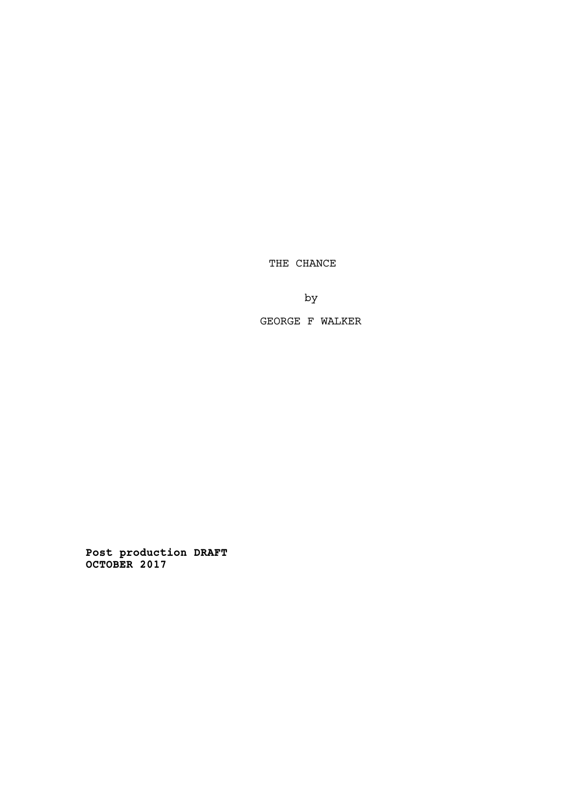THE CHANCE

by

GEORGE F WALKER

**Post production DRAFT OCTOBER 2017**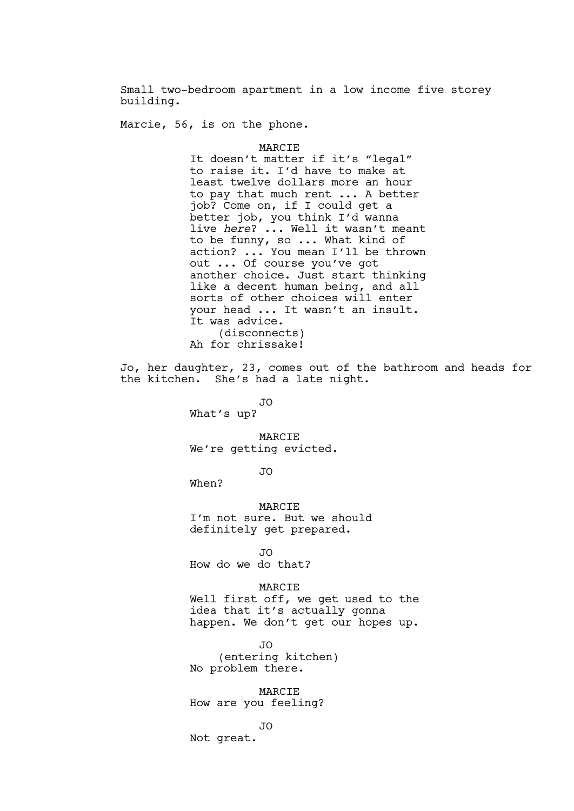Small two-bedroom apartment in a low income five storey building.

Marcie, 56, is on the phone.

MARCIE

It doesn't matter if it's "legal" to raise it. I'd have to make at least twelve dollars more an hour to pay that much rent ... A better job? Come on, if I could get a better job, you think I'd wanna live *here*? ... Well it wasn't meant to be funny, so ... What kind of action? ... You mean I'll be thrown out ... Of course you've got another choice. Just start thinking like a decent human being, and all sorts of other choices will enter your head ... It wasn't an insult. It was advice. (disconnects) Ah for chrissake!

Jo, her daughter, 23, comes out of the bathroom and heads for the kitchen. She's had a late night.

JO

What's up?

MARCIE We're getting evicted.

JO

When?

MARCIE I'm not sure. But we should definitely get prepared.

JO

How do we do that?

## MARCIE

Well first off, we get used to the idea that it's actually gonna happen. We don't get our hopes up.

JO (entering kitchen) No problem there.

MARCIE How are you feeling?

## JO

Not great.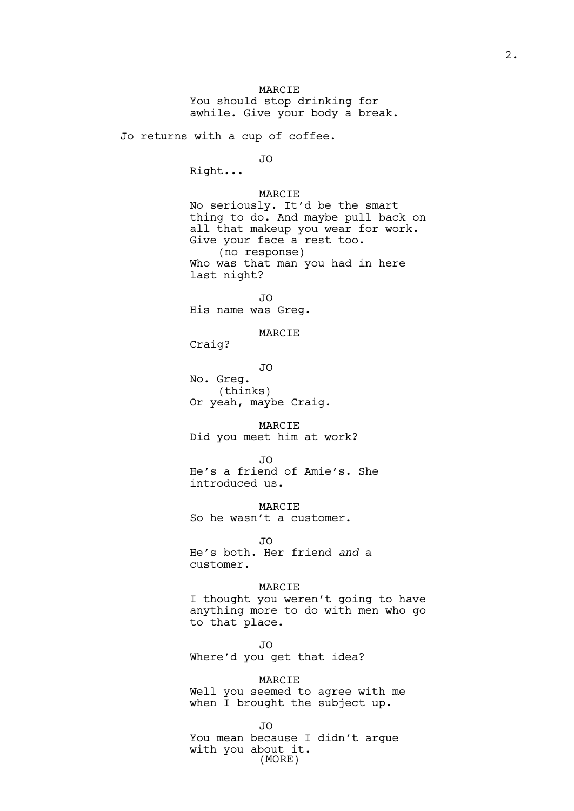MARCIE You should stop drinking for awhile. Give your body a break.

Jo returns with a cup of coffee.

#### JO

Right...

# MARCIE

No seriously. It'd be the smart thing to do. And maybe pull back on all that makeup you wear for work. Give your face a rest too. (no response) Who was that man you had in here last night?

JO

His name was Greg.

# MARCIE

Craig?

JO No. Greg. (thinks) Or yeah, maybe Craig.

MARCIE Did you meet him at work?

JO

He's a friend of Amie's. She introduced us.

**MARCIE** So he wasn't a customer.

JO He's both. Her friend *and* a customer.

#### MARCIE

I thought you weren't going to have anything more to do with men who go to that place.

JO Where'd you get that idea?

MARCIE Well you seemed to agree with me when I brought the subject up.

JO

You mean because I didn't argue with you about it. (MORE)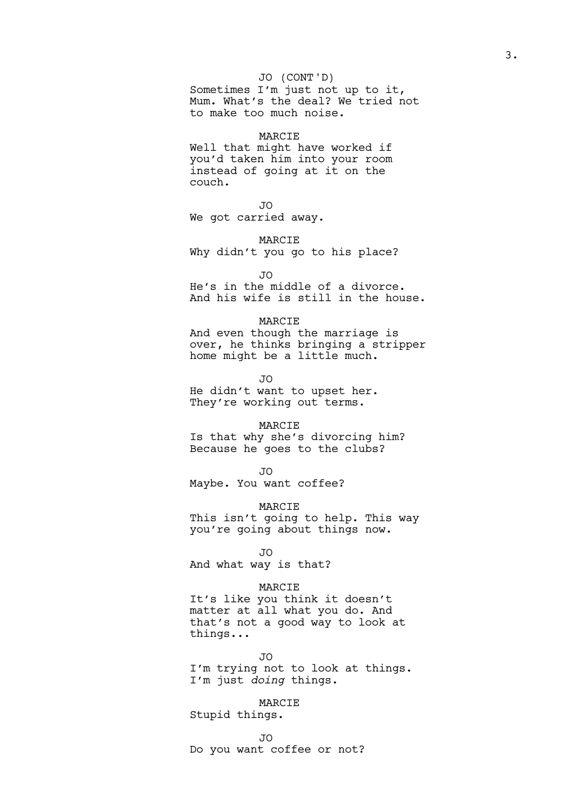Sometimes I'm just not up to it, Mum. What's the deal? We tried not to make too much noise.

#### MARCIE

Well that might have worked if you'd taken him into your room instead of going at it on the couch.

JO

We got carried away.

MARCIE

Why didn't you go to his place?

 $\overline{J}$ 

He's in the middle of a divorce. And his wife is still in the house.

#### MARCIE

And even though the marriage is over, he thinks bringing a stripper home might be a little much.

JO

He didn't want to upset her. They're working out terms.

# MARCIE

Is that why she's divorcing him? Because he goes to the clubs?

JO

Maybe. You want coffee?

**MARCIE** 

This isn't going to help. This way you're going about things now.

JO

And what way is that?

## MARCIE

It's like you think it doesn't matter at all what you do. And that's not a good way to look at things...

JO

I'm trying not to look at things. I'm just *doing* things.

# MARCIE

Stupid things.

JO

Do you want coffee or not?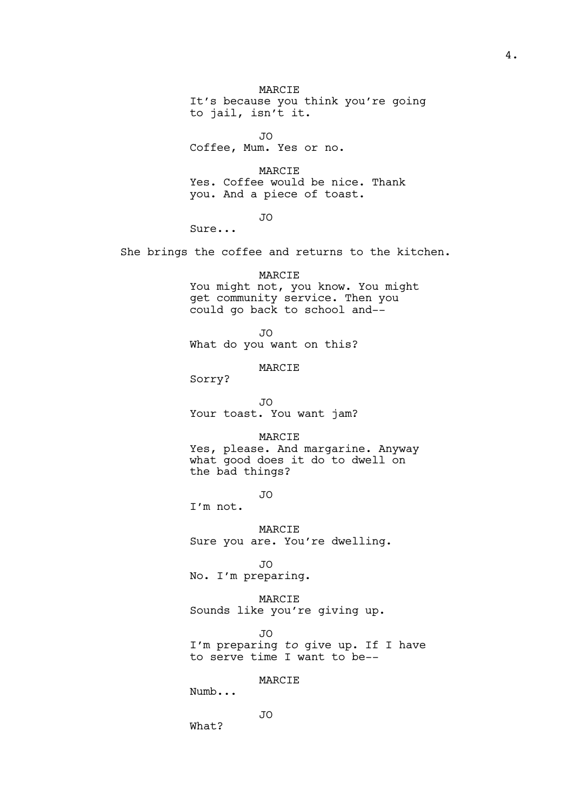MARCIE It's because you think you're going to jail, isn't it.

JO

Coffee, Mum. Yes or no.

MARCIE Yes. Coffee would be nice. Thank you. And a piece of toast.

JO

Sure...

She brings the coffee and returns to the kitchen.

MARCIE

You might not, you know. You might get community service. Then you could go back to school and--

JO

What do you want on this?

MARCIE

Sorry?

JO Your toast. You want jam?

MARCIE

Yes, please. And margarine. Anyway what good does it do to dwell on the bad things?

JO

I'm not.

MARCIE Sure you are. You're dwelling.

JO No. I'm preparing.

MARCIE Sounds like you're giving up.

JO I'm preparing *to* give up. If I have to serve time I want to be--

MARCIE

Numb...

JO

What?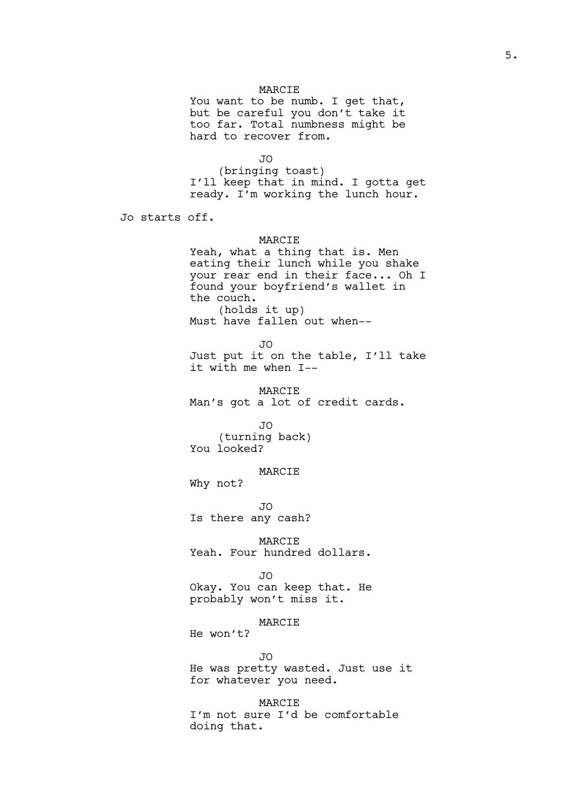You want to be numb. I get that, but be careful you don't take it too far. Total numbness might be hard to recover from.

JO

(bringing toast) I'll keep that in mind. I gotta get ready. I'm working the lunch hour.

Jo starts off.

# MARCIE

Yeah, what a thing that is. Men eating their lunch while you shake your rear end in their face... Oh I found your boyfriend's wallet in the couch. (holds it up) Must have fallen out when--

 $\overline{J}$ Just put it on the table, I'll take it with me when I--

MARCIE Man's got a lot of credit cards.

JO (turning back) You looked?

MARCIE

Why not?

JO

Is there any cash?

MARCIE Yeah. Four hundred dollars.

JO

Okay. You can keep that. He probably won't miss it.

MARCIE

He won't?

JO

He was pretty wasted. Just use it for whatever you need.

MARCIE I'm not sure I'd be comfortable doing that.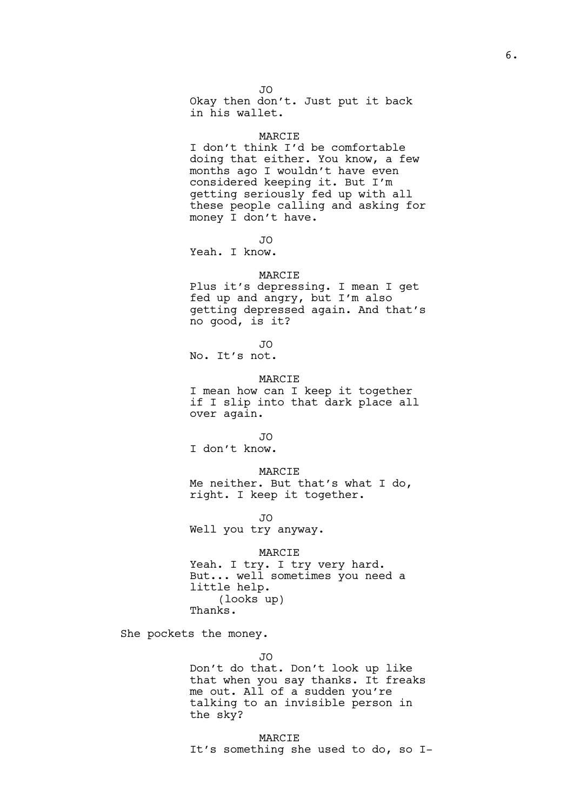JO Okay then don't. Just put it back in his wallet.

#### MARCIE

I don't think I'd be comfortable doing that either. You know, a few months ago I wouldn't have even considered keeping it. But I'm getting seriously fed up with all these people calling and asking for money I don't have.

JO

Yeah. I know.

# MARCIE

Plus it's depressing. I mean I get fed up and angry, but I'm also getting depressed again. And that's no good, is it?

 $\overline{J}$ 

No. It's not.

# MARCIE

I mean how can I keep it together if I slip into that dark place all over again.

JO

I don't know.

MARCIE

Me neither. But that's what I do, right. I keep it together.

 $\overline{J}$ 

Well you try anyway.

MARCIE

Yeah. I try. I try very hard. But... well sometimes you need a little help. (looks up) Thanks.

She pockets the money.

JO

Don't do that. Don't look up like that when you say thanks. It freaks me out. All of a sudden you're talking to an invisible person in the sky?

MARCIE It's something she used to do, so I-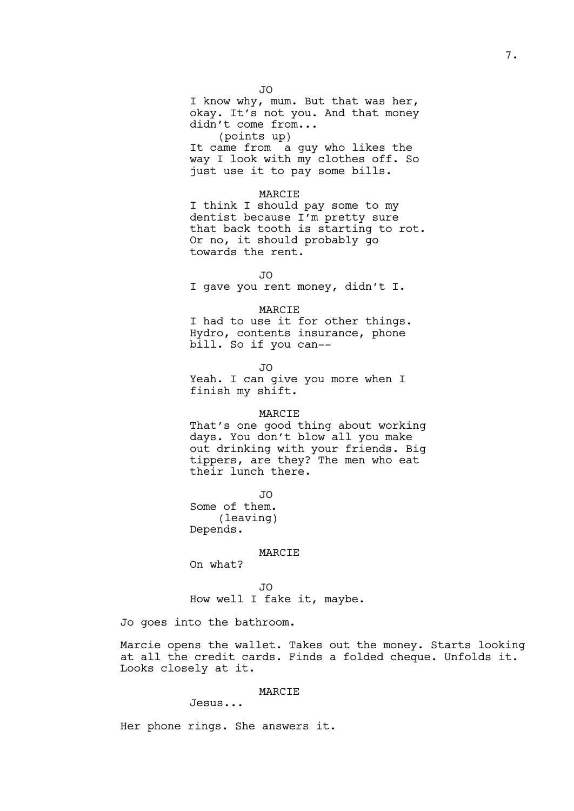JO I know why, mum. But that was her, okay. It's not you. And that money didn't come from... (points up) It came from a guy who likes the way I look with my clothes off. So just use it to pay some bills.

### MARCIE

I think I should pay some to my dentist because I'm pretty sure that back tooth is starting to rot. Or no, it should probably go towards the rent.

 $\overline{J}$ I gave you rent money, didn't I.

#### MARCIE

I had to use it for other things. Hydro, contents insurance, phone bill. So if you can--

JO

Yeah. I can give you more when I finish my shift.

## MARCIE

That's one good thing about working days. You don't blow all you make out drinking with your friends. Big tippers, are they? The men who eat their lunch there.

JO

Some of them. (leaving) Depends.

#### MARCIE

On what?

JO

How well I fake it, maybe.

Jo goes into the bathroom.

Marcie opens the wallet. Takes out the money. Starts looking at all the credit cards. Finds a folded cheque. Unfolds it. Looks closely at it.

# MARCIE

Jesus...

Her phone rings. She answers it.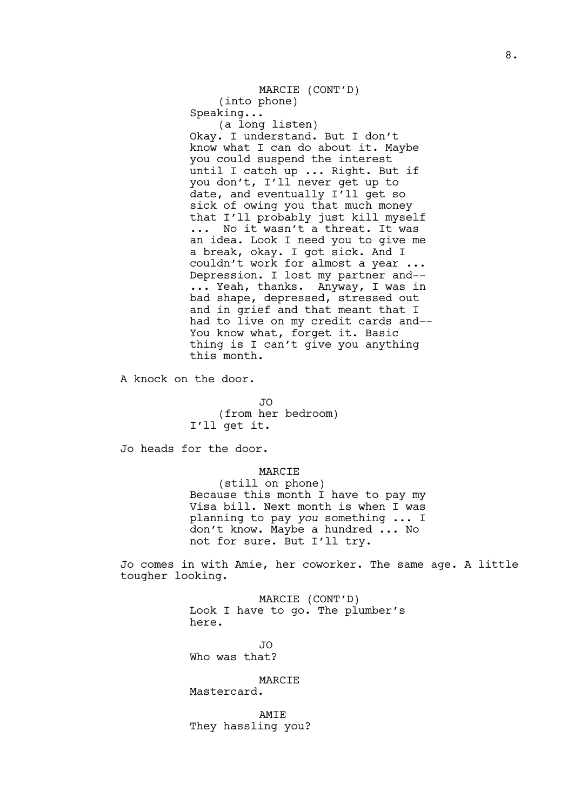MARCIE (CONT'D) (into phone) Speaking... (a long listen) Okay. I understand. But I don't know what I can do about it. Maybe you could suspend the interest until I catch up ... Right. But if you don't, I'll never get up to date, and eventually I'll get so sick of owing you that much money that I'll probably just kill myself ... No it wasn't a threat. It was an idea. Look I need you to give me a break, okay. I got sick. And I couldn't work for almost a year ... Depression. I lost my partner and-- ... Yeah, thanks. Anyway, I was in bad shape, depressed, stressed out and in grief and that meant that I had to live on my credit cards and-- You know what, forget it. Basic thing is I can't give you anything this month.

A knock on the door.

JO (from her bedroom) I'll get it.

Jo heads for the door.

#### MARCIE

(still on phone) Because this month I have to pay my Visa bill. Next month is when I was planning to pay *you* something ... I don't know. Maybe a hundred ... No not for sure. But I'll try.

Jo comes in with Amie, her coworker. The same age. A little tougher looking.

> MARCIE (CONT'D) Look I have to go. The plumber's here.

JO Who was that?

MARCIE

Mastercard.

AMIE They hassling you?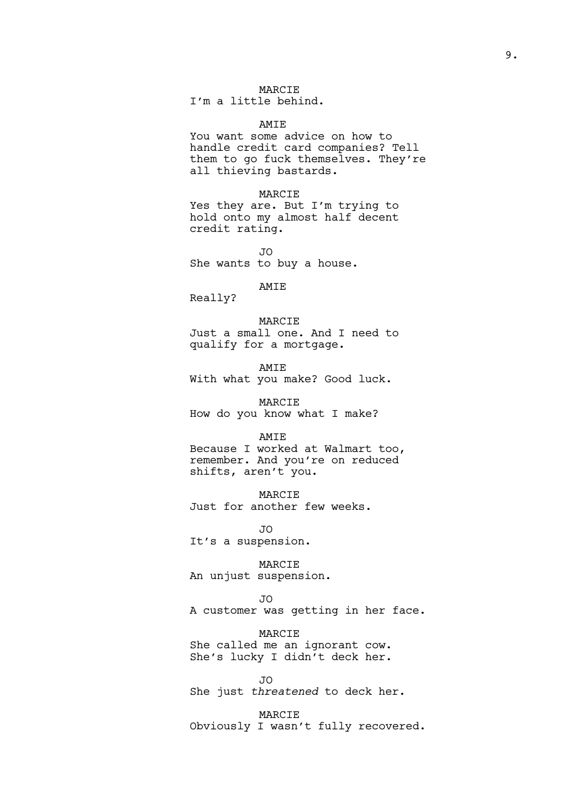I'm a little behind.

AMIE You want some advice on how to handle credit card companies? Tell them to go fuck themselves. They're all thieving bastards.

MARCIE Yes they are. But I'm trying to hold onto my almost half decent credit rating.

JO She wants to buy a house.

AMIE Really?

MARCIE

Just a small one. And I need to qualify for a mortgage.

AMIE With what you make? Good luck.

MARCIE How do you know what I make?

#### AMIE

Because I worked at Walmart too, remember. And you're on reduced shifts, aren't you.

MARCIE

Just for another few weeks.

JO It's a suspension.

MARCIE

An unjust suspension.

#### JO

A customer was getting in her face.

MARCIE

She called me an ignorant cow. She's lucky I didn't deck her.

JO She just *threatened* to deck her.

MARCIE Obviously I wasn't fully recovered.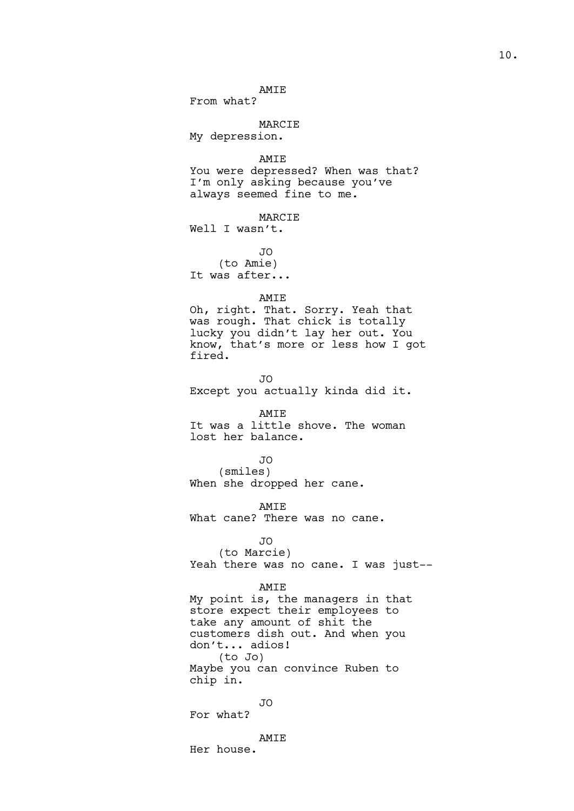# AMIE

From what?

# MARCIE

My depression.

AMIE

You were depressed? When was that? I'm only asking because you've always seemed fine to me.

MARCIE Well I wasn't.

JO (to Amie) It was after...

# AMIE

Oh, right. That. Sorry. Yeah that was rough. That chick is totally lucky you didn't lay her out. You know, that's more or less how I got fired.

JO Except you actually kinda did it.

#### AMIE

It was a little shove. The woman lost her balance.

## JO

(smiles) When she dropped her cane.

AMIE What cane? There was no cane.

# JO

(to Marcie) Yeah there was no cane. I was just--

## AMIE

My point is, the managers in that store expect their employees to take any amount of shit the customers dish out. And when you don't... adios! (to Jo) Maybe you can convince Ruben to chip in.

## JO

For what?

AMIE

Her house.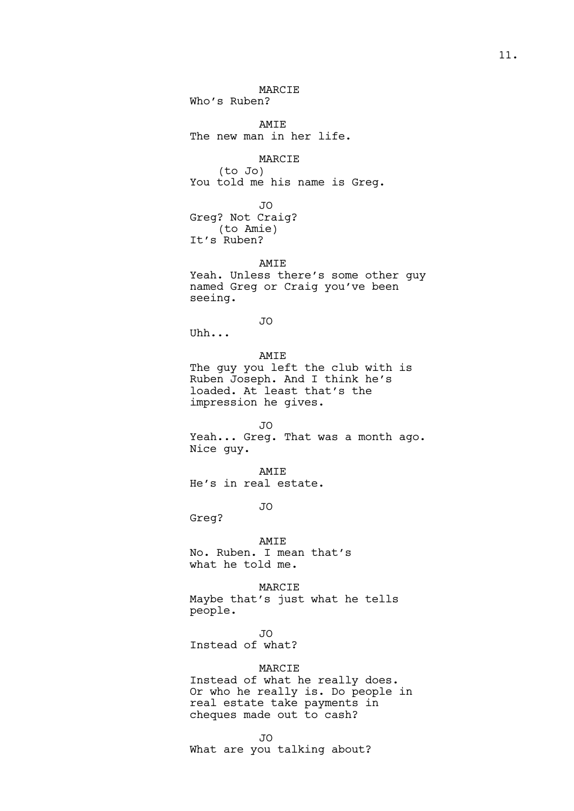MARCIE Who's Ruben? AMIE The new man in her life. MARCIE (to Jo) You told me his name is Greg. JO Greg? Not Craig? (to Amie) It's Ruben? AMIE Yeah. Unless there's some other guy named Greg or Craig you've been seeing. JO Uhh... AMIE The guy you left the club with is Ruben Joseph. And I think he's loaded. At least that's the impression he gives. JO Yeah... Greg. That was a month ago. Nice guy. AMIE He's in real estate. JO Greg? AMIE No. Ruben. I mean that's what he told me. MARCIE Maybe that's just what he tells people. JO Instead of what? MARCIE Instead of what he really does. Or who he really is. Do people in real estate take payments in cheques made out to cash? JO What are you talking about?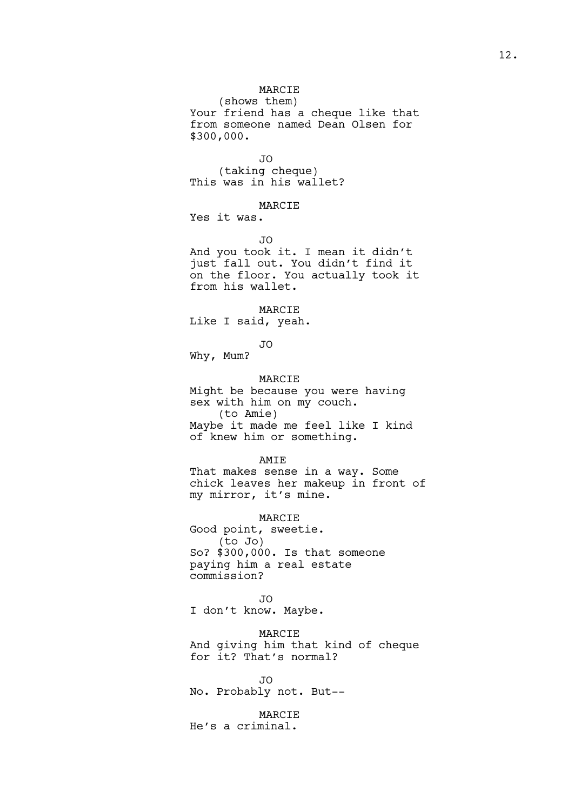(shows them) Your friend has a cheque like that from someone named Dean Olsen for \$300,000.

JO (taking cheque) This was in his wallet?

#### MARCIE

Yes it was.

JO

And you took it. I mean it didn't just fall out. You didn't find it on the floor. You actually took it from his wallet.

MARCIE

Like I said, yeah.

JO

Why, Mum?

MARCIE Might be because you were having sex with him on my couch. (to Amie) Maybe it made me feel like I kind of knew him or something.

AMIE

That makes sense in a way. Some chick leaves her makeup in front of my mirror, it's mine.

MARCIE

Good point, sweetie. (to Jo) So? \$300,000. Is that someone paying him a real estate commission?

JO I don't know. Maybe.

MARCIE And giving him that kind of cheque for it? That's normal?

JO No. Probably not. But--

MARCIE He's a criminal.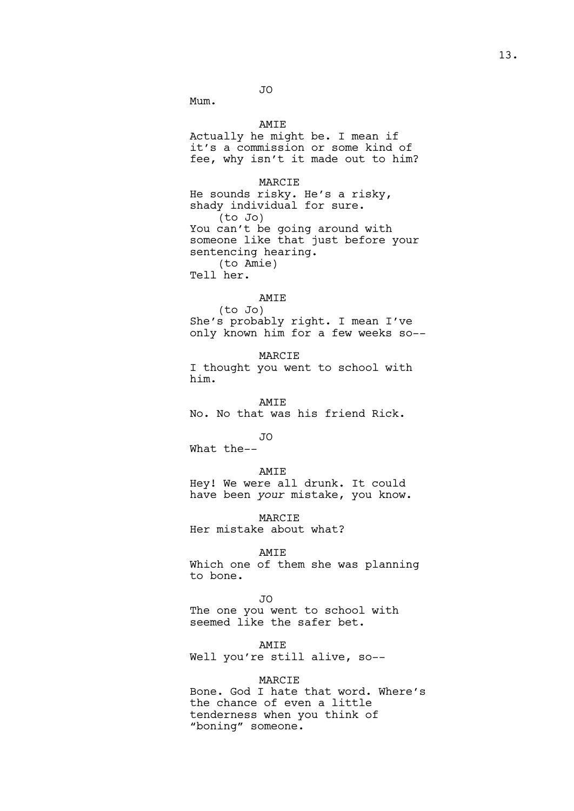JO

Mum.

AMIE

Actually he might be. I mean if it's a commission or some kind of fee, why isn't it made out to him?

## MARCIE

He sounds risky. He's a risky, shady individual for sure. (to Jo) You can't be going around with someone like that just before your sentencing hearing. (to Amie) Tell her.

#### AMIE

(to Jo) She's probably right. I mean I've only known him for a few weeks so--

MARCIE I thought you went to school with him.

AMIE No. No that was his friend Rick.

JO

What the--

#### AMIE

Hey! We were all drunk. It could have been *your* mistake, you know.

MARCIE Her mistake about what?

#### AMIE

Which one of them she was planning to bone.

#### JO

The one you went to school with seemed like the safer bet.

AMIE

Well you're still alive, so--

## MARCIE

Bone. God I hate that word. Where's the chance of even a little tenderness when you think of "boning" someone.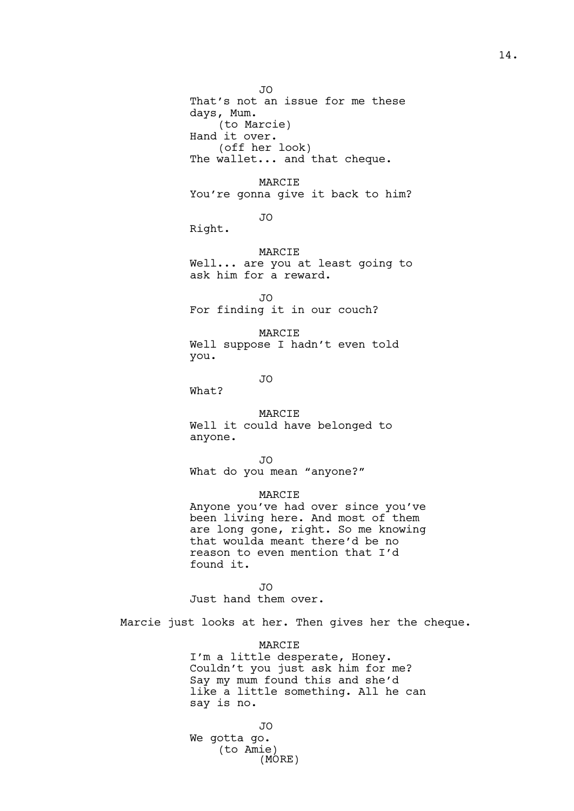JO That's not an issue for me these days, Mum. (to Marcie) Hand it over. (off her look) The wallet... and that cheque.

MARCIE You're gonna give it back to him?

JO

Right.

MARCIE Well... are you at least going to ask him for a reward.

JO For finding it in our couch?

MARCIE Well suppose I hadn't even told you.

JO

What?

#### MARCIE

Well it could have belonged to anyone.

JO

What do you mean "anyone?"

## MARCIE

Anyone you've had over since you've been living here. And most of them are long gone, right. So me knowing that woulda meant there'd be no reason to even mention that I'd found it.

JO

Just hand them over.

Marcie just looks at her. Then gives her the cheque.

MARCIE

I'm a little desperate, Honey. Couldn't you just ask him for me? Say my mum found this and she'd like a little something. All he can say is no.

JO We gotta go. (to Amie) (MORE)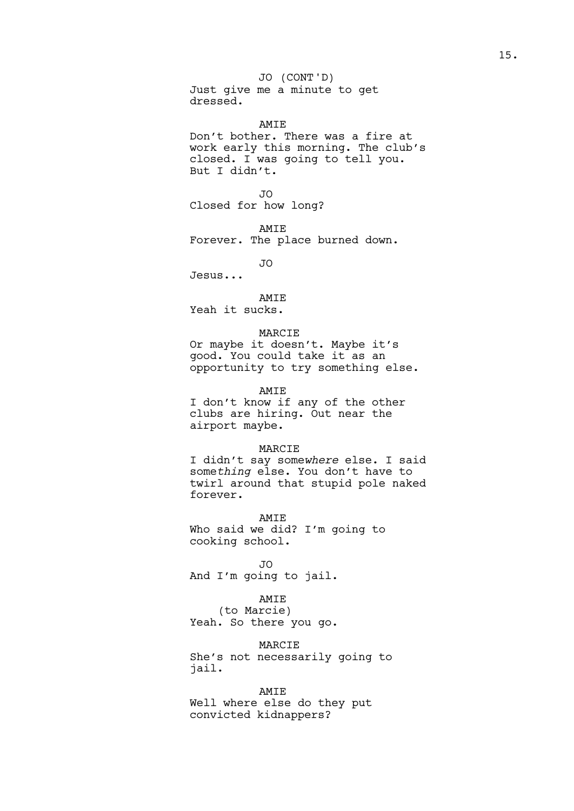Just give me a minute to get dressed. JO (CONT'D)

AMIE Don't bother. There was a fire at work early this morning. The club's closed. I was going to tell you. But I didn't.

JO Closed for how long?

AMIE Forever. The place burned down.

JO

Jesus...

# AMIE

Yeah it sucks.

#### MARCIE

Or maybe it doesn't. Maybe it's good. You could take it as an opportunity to try something else.

# AMIE

I don't know if any of the other clubs are hiring. Out near the airport maybe.

#### MARCIE

I didn't say some*where* else. I said some*thing* else. You don't have to twirl around that stupid pole naked forever.

AMIE Who said we did? I'm going to cooking school.

JO And I'm going to jail.

AMIE

(to Marcie) Yeah. So there you go.

MARCIE She's not necessarily going to jail.

#### AMIE

Well where else do they put convicted kidnappers?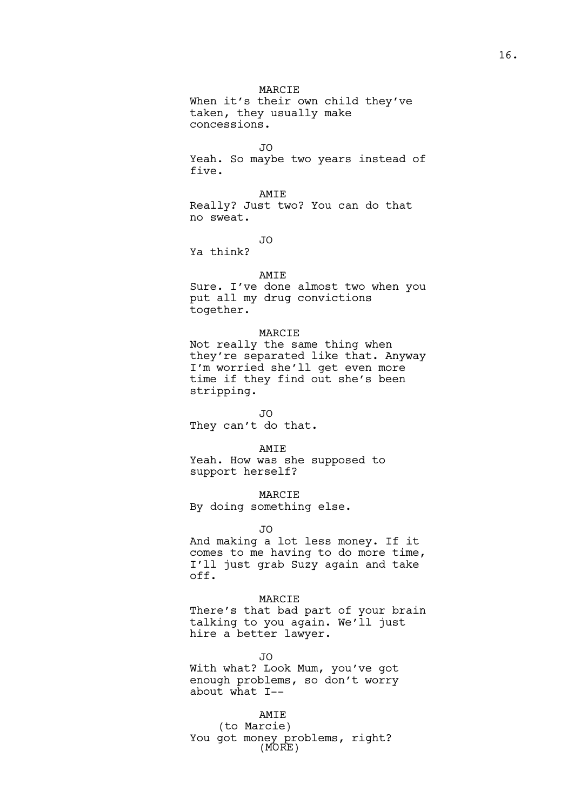MARCIE When it's their own child they've taken, they usually make concessions.

JO

Yeah. So maybe two years instead of five.

AMIE Really? Just two? You can do that no sweat.

JO

Ya think?

#### AMIE

Sure. I've done almost two when you put all my drug convictions together.

## MARCIE

Not really the same thing when they're separated like that. Anyway I'm worried she'll get even more time if they find out she's been stripping.

JO

They can't do that.

#### AMIE

Yeah. How was she supposed to support herself?

MARCIE

By doing something else.

JO

And making a lot less money. If it comes to me having to do more time, I'll just grab Suzy again and take off.

# MARCIE

There's that bad part of your brain talking to you again. We'll just hire a better lawyer.

JO

With what? Look Mum, you've got enough problems, so don't worry about what I--

# AMIE

(to Marcie) You got money problems, right? (MORE)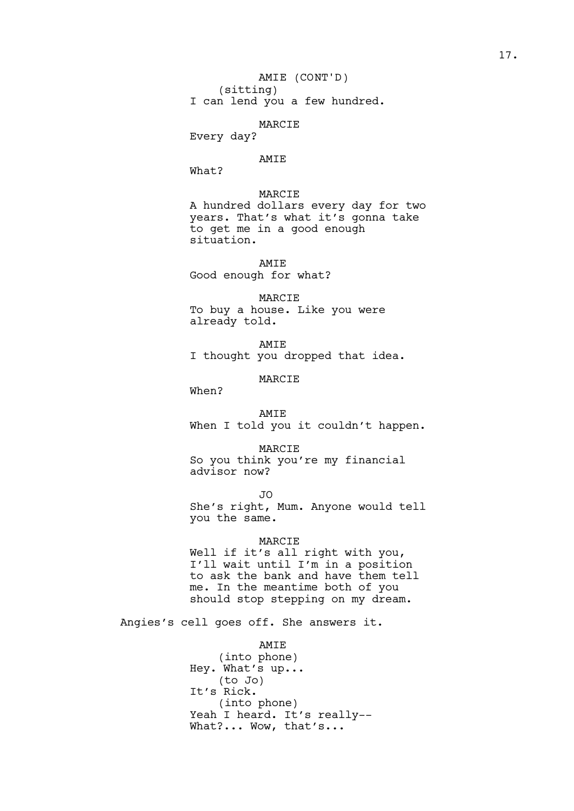Every day?

## AMIE

What?

MARCIE A hundred dollars every day for two years. That's what it's gonna take to get me in a good enough situation.

AMIE Good enough for what?

MARCIE To buy a house. Like you were already told.

AMIE I thought you dropped that idea.

MARCIE

When?

AMIE When I told you it couldn't happen.

MARCIE So you think you're my financial advisor now?

JO She's right, Mum. Anyone would tell you the same.

## MARCIE

Well if it's all right with you, I'll wait until I'm in a position to ask the bank and have them tell me. In the meantime both of you should stop stepping on my dream.

Angies's cell goes off. She answers it.

# AMIE

(into phone) Hey. What's up... (to Jo) It's Rick. (into phone) Yeah I heard. It's really--What?... Wow, that's...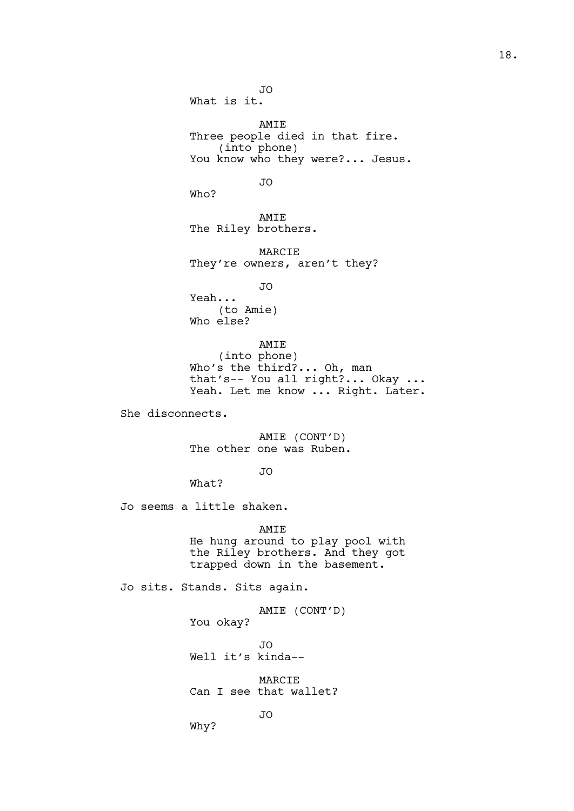JO What is it. AMIE Three people died in that fire. (into phone) You know who they were?... Jesus. JO Who? AMIE The Riley brothers. MARCIE They're owners, aren't they? JO Yeah... (to Amie) Who else? AMIE (into phone) Who's the third?... Oh, man that's-- You all right?... Okay ... Yeah. Let me know ... Right. Later. She disconnects. AMIE (CONT'D) The other one was Ruben. JO What? Jo seems a little shaken. AMIE He hung around to play pool with the Riley brothers. And they got trapped down in the basement. Jo sits. Stands. Sits again. AMIE (CONT'D) You okay? JO Well it's kinda-- MARCIE Can I see that wallet? JO Why?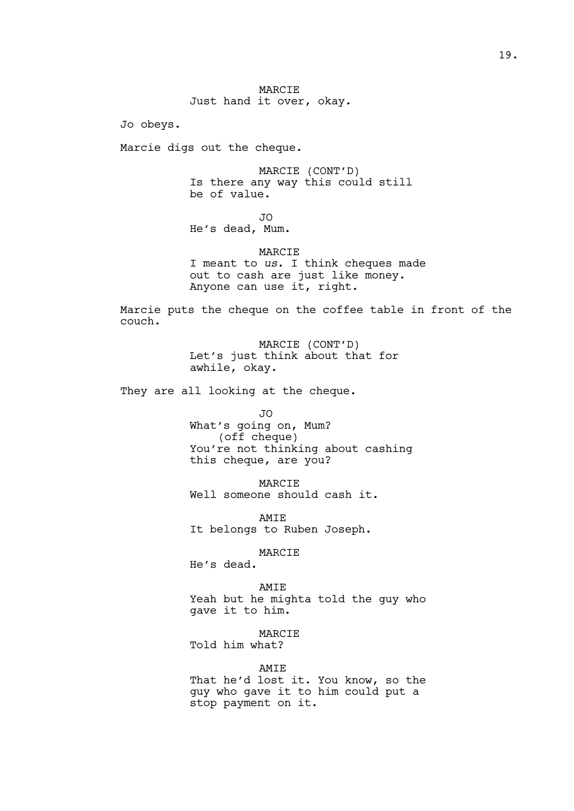Jo obeys.

Marcie digs out the cheque.

MARCIE (CONT'D) Is there any way this could still be of value.

JO

He's dead, Mum.

MARCIE I meant to *us*. I think cheques made out to cash are just like money. Anyone can use it, right.

Marcie puts the cheque on the coffee table in front of the couch.

> MARCIE (CONT'D) Let's just think about that for awhile, okay.

They are all looking at the cheque.

JO

What's going on, Mum? (off cheque) You're not thinking about cashing this cheque, are you?

MARCIE Well someone should cash it.

AMIE It belongs to Ruben Joseph.

MARCIE

He's dead.

AMIE

Yeah but he mighta told the guy who gave it to him.

MARCIE

Told him what?

AMIE

That he'd lost it. You know, so the guy who gave it to him could put a stop payment on it.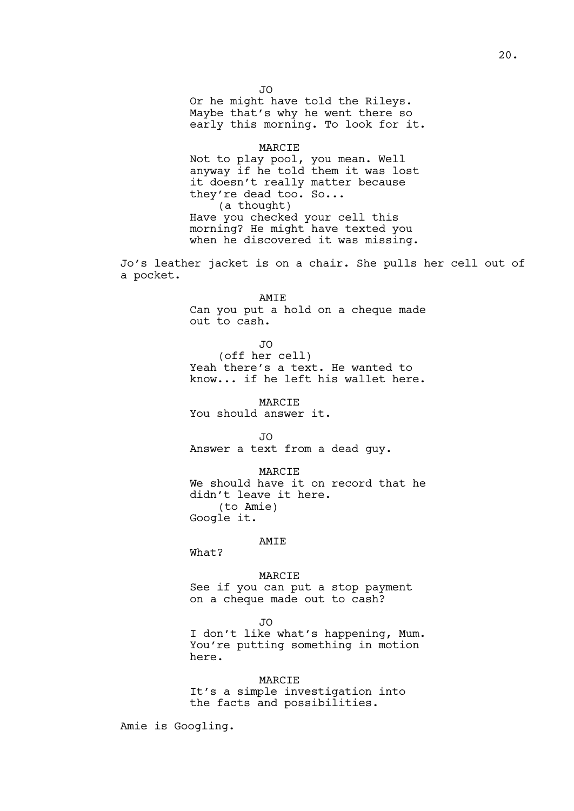JO Or he might have told the Rileys. Maybe that's why he went there so early this morning. To look for it.

# MARCIE Not to play pool, you mean. Well anyway if he told them it was lost it doesn't really matter because they're dead too. So... (a thought) Have you checked your cell this morning? He might have texted you when he discovered it was missing.

Jo's leather jacket is on a chair. She pulls her cell out of a pocket.

AMIE

Can you put a hold on a cheque made out to cash.

JO

(off her cell) Yeah there's a text. He wanted to know... if he left his wallet here.

MARCIE You should answer it.

JO

Answer a text from a dead guy.

MARCIE

We should have it on record that he didn't leave it here. (to Amie) Google it.

AMIE

What?

MARCIE

See if you can put a stop payment on a cheque made out to cash?

JO

I don't like what's happening, Mum. You're putting something in motion here.

MARCIE

It's a simple investigation into the facts and possibilities.

Amie is Googling.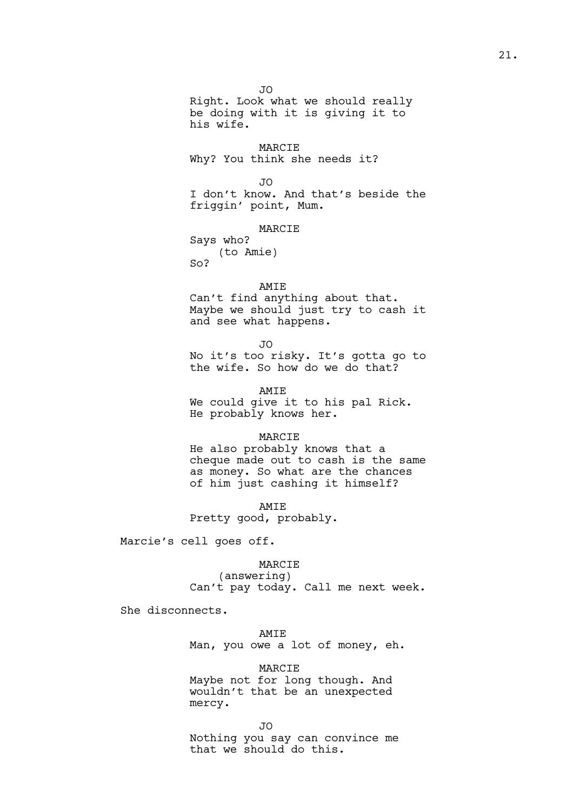JO Right. Look what we should really be doing with it is giving it to his wife.

MARCIE Why? You think she needs it?

JO

I don't know. And that's beside the friggin' point, Mum.

MARCIE Says who? (to Amie)  $SO<sub>2</sub>$ 

AMIE Can't find anything about that. Maybe we should just try to cash it and see what happens.

JO No it's too risky. It's gotta go to the wife. So how do we do that?

AMIE We could give it to his pal Rick. He probably knows her.

#### MARCIE

He also probably knows that a cheque made out to cash is the same as money. So what are the chances of him just cashing it himself?

AMIE Pretty good, probably.

Marcie's cell goes off.

#### MARCIE

(answering) Can't pay today. Call me next week.

She disconnects.

# AMIE

Man, you owe a lot of money, eh.

MARCIE Maybe not for long though. And wouldn't that be an unexpected mercy.

JO

Nothing you say can convince me that we should do this.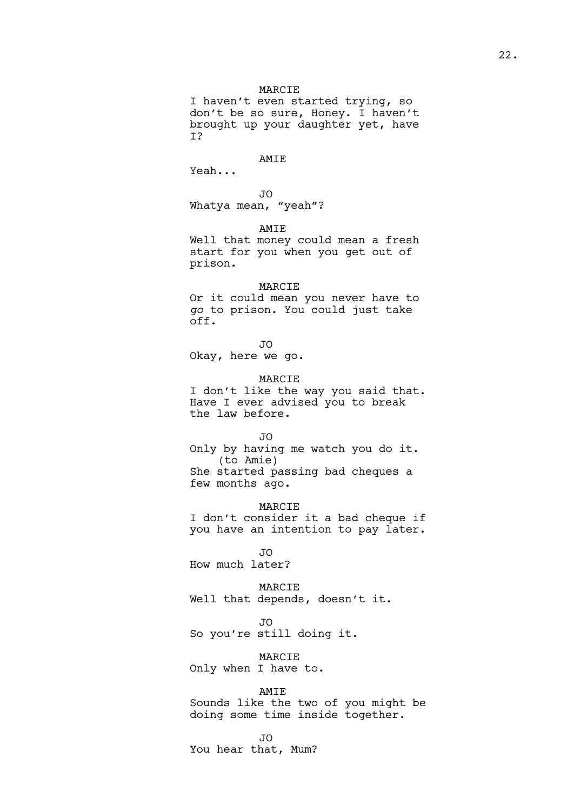I haven't even started trying, so don't be so sure, Honey. I haven't brought up your daughter yet, have I?

## AMIE

Yeah...

JO Whatya mean, "yeah"?

AMIE

Well that money could mean a fresh start for you when you get out of prison.

# MARCIE

Or it could mean you never have to *go* to prison. You could just take off.

JO

Okay, here we go.

the law before.

MARCIE I don't like the way you said that. Have I ever advised you to break

JO

Only by having me watch you do it. (to Amie) She started passing bad cheques a few months ago.

**MARCIE** I don't consider it a bad cheque if you have an intention to pay later.

JO How much later?

MARCIE Well that depends, doesn't it.

JO So you're still doing it.

MARCIE Only when I have to.

AMIE Sounds like the two of you might be doing some time inside together.

JO

You hear that, Mum?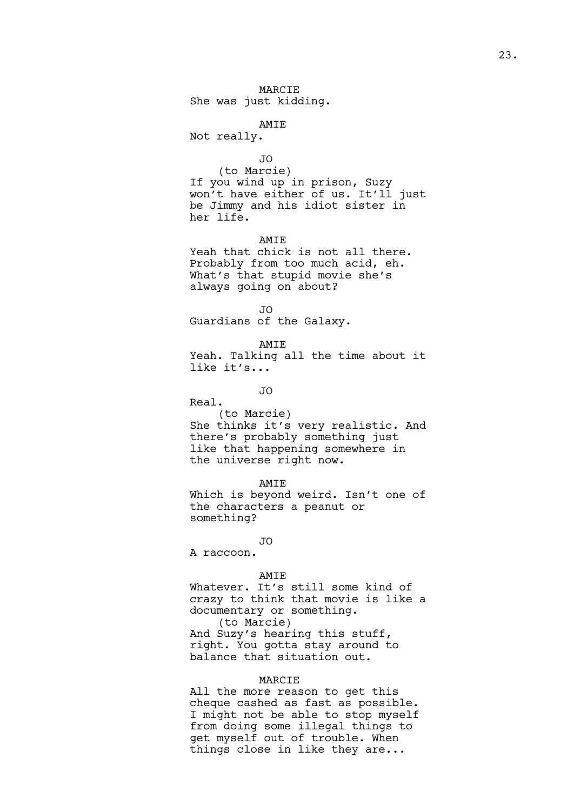## AMIE

Not really.

#### JO

(to Marcie) If you wind up in prison, Suzy won't have either of us. It'll just be Jimmy and his idiot sister in her life.

AMIE

Yeah that chick is not all there. Probably from too much acid, eh. What's that stupid movie she's always going on about?

JO

Guardians of the Galaxy.

AMIE Yeah. Talking all the time about it like it's...

JO

Real.

(to Marcie) She thinks it's very realistic. And there's probably something just like that happening somewhere in the universe right now.

AMIE

Which is beyond weird. Isn't one of the characters a peanut or something?

 $\overline{J}$ 

A raccoon.

## AMIE

Whatever. It's still some kind of crazy to think that movie is like a documentary or something. (to Marcie) And Suzy's hearing this stuff, right. You gotta stay around to balance that situation out.

#### MARCIE

All the more reason to get this cheque cashed as fast as possible. I might not be able to stop myself from doing some illegal things to get myself out of trouble. When things close in like they are...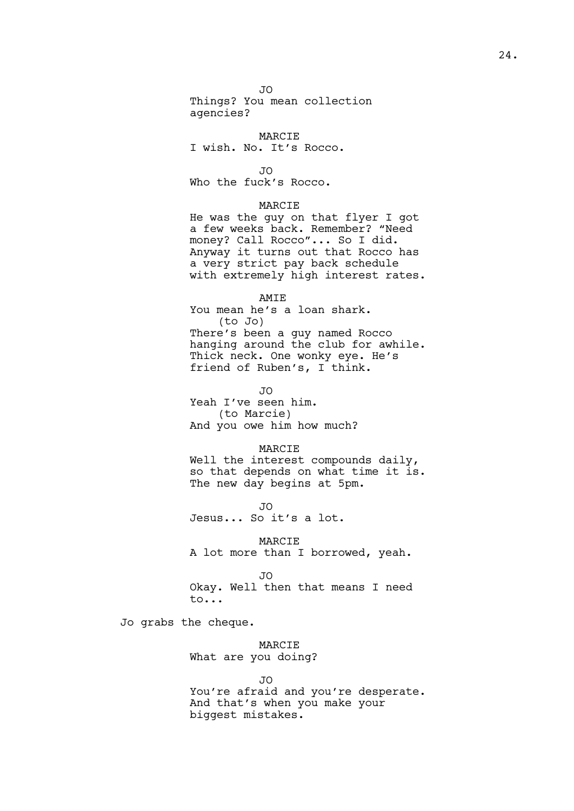#### JO

Things? You mean collection agencies?

## MARCIE

I wish. No. It's Rocco.

JO

Who the fuck's Rocco.

## MARCIE

He was the guy on that flyer I got a few weeks back. Remember? "Need money? Call Rocco"... So I did. Anyway it turns out that Rocco has a very strict pay back schedule with extremely high interest rates.

# AMIE

You mean he's a loan shark. (to Jo) There's been a guy named Rocco hanging around the club for awhile. Thick neck. One wonky eye. He's friend of Ruben's, I think.

JO

Yeah I've seen him. (to Marcie) And you owe him how much?

#### MARCIE

Well the interest compounds daily, so that depends on what time it is. The new day begins at 5pm.

JO Jesus... So it's a lot.

MARCIE A lot more than I borrowed, yeah.

JO Okay. Well then that means I need to...

Jo grabs the cheque.

MARCIE What are you doing?

JO You're afraid and you're desperate. And that's when you make your biggest mistakes.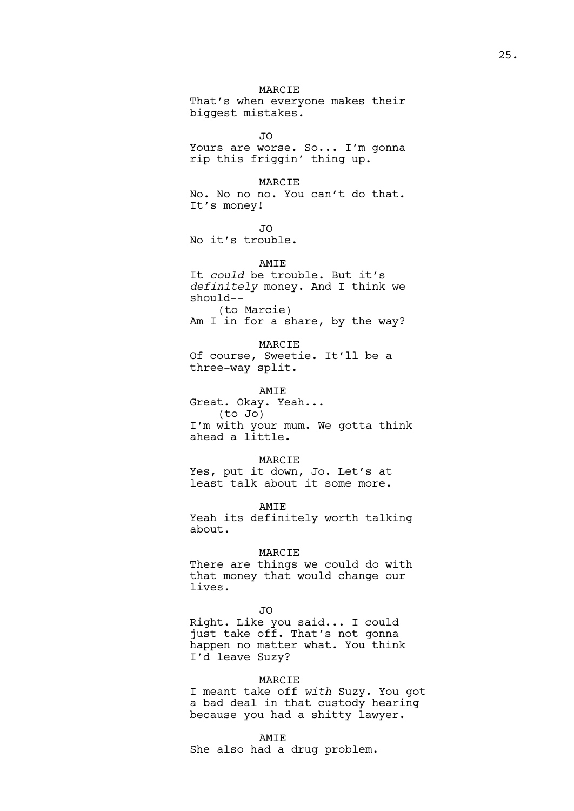MARCIE That's when everyone makes their biggest mistakes.

JO

Yours are worse. So... I'm gonna rip this friggin' thing up.

MARCIE No. No no no. You can't do that. It's money!

JO

No it's trouble.

AMT<sub>E</sub>

It *could* be trouble. But it's *definitely* money. And I think we should-- (to Marcie) Am I in for a share, by the way?

MARCIE Of course, Sweetie. It'll be a three-way split.

AMIE Great. Okay. Yeah... (to Jo) I'm with your mum. We gotta think ahead a little.

MARCIE Yes, put it down, Jo. Let's at least talk about it some more.

AMIE Yeah its definitely worth talking about.

MARCIE There are things we could do with that money that would change our lives.

JO

Right. Like you said... I could just take off. That's not gonna happen no matter what. You think I'd leave Suzy?

# MARCIE

I meant take off *with* Suzy. You got a bad deal in that custody hearing because you had a shitty lawyer.

## AMIE

She also had a drug problem.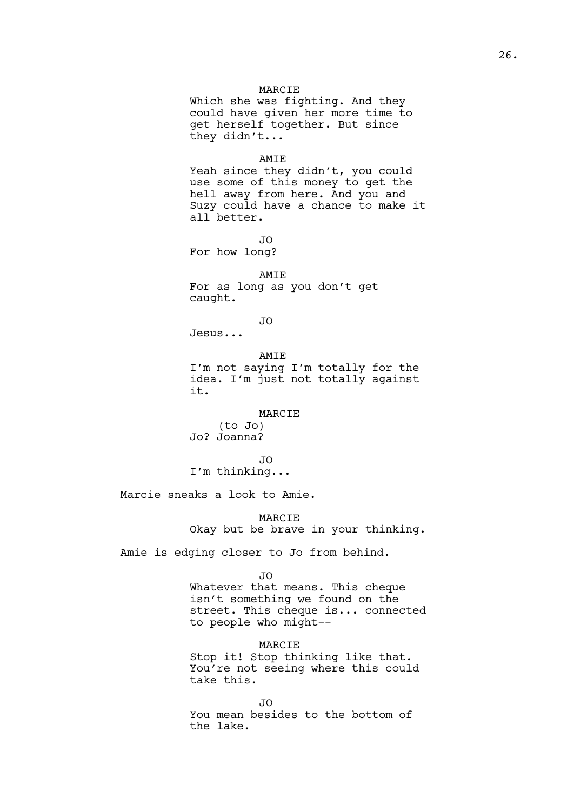Which she was fighting. And they could have given her more time to get herself together. But since they didn't...

#### AMIE

Yeah since they didn't, you could use some of this money to get the hell away from here. And you and Suzy could have a chance to make it all better.

JO

For how long?

AMIE For as long as you don't get

JO Jesus...

caught.

it.

AMIE I'm not saying I'm totally for the idea. I'm just not totally against

#### MARCIE

(to Jo) Jo? Joanna?

JO I'm thinking...

Marcie sneaks a look to Amie.

MARCIE Okay but be brave in your thinking.

Amie is edging closer to Jo from behind.

JO

Whatever that means. This cheque isn't something we found on the street. This cheque is... connected to people who might--

MARCIE Stop it! Stop thinking like that. You're not seeing where this could take this.

JO You mean besides to the bottom of the lake.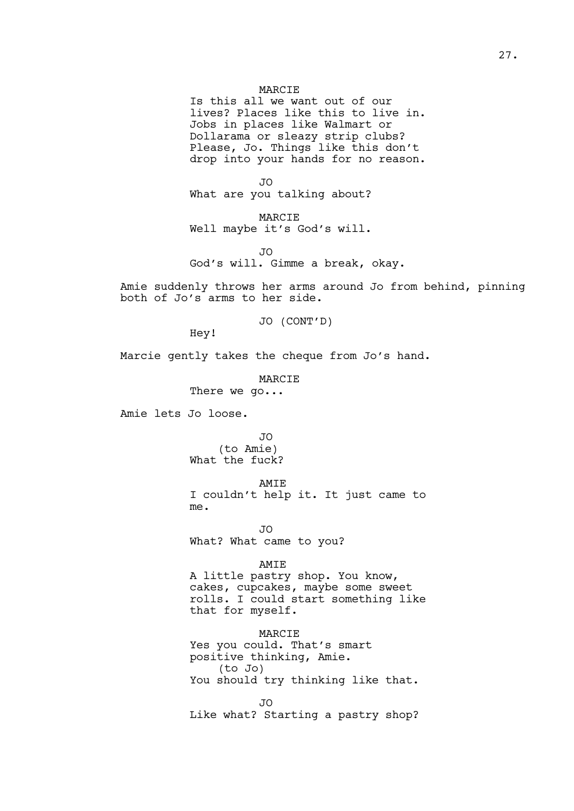Is this all we want out of our lives? Places like this to live in. Jobs in places like Walmart or Dollarama or sleazy strip clubs? Please, Jo. Things like this don't drop into your hands for no reason.

JO What are you talking about?

MARCIE Well maybe it's God's will.

JO God's will. Gimme a break, okay.

Amie suddenly throws her arms around Jo from behind, pinning both of Jo's arms to her side.

JO (CONT'D)

Hey!

Marcie gently takes the cheque from Jo's hand.

MARCIE

There we go...

Amie lets Jo loose.

JO (to Amie) What the fuck?

AMIE

I couldn't help it. It just came to me.

JO What? What came to you?

## AMIE

A little pastry shop. You know, cakes, cupcakes, maybe some sweet rolls. I could start something like that for myself.

MARCIE Yes you could. That's smart positive thinking, Amie. (to Jo) You should try thinking like that.

JO Like what? Starting a pastry shop?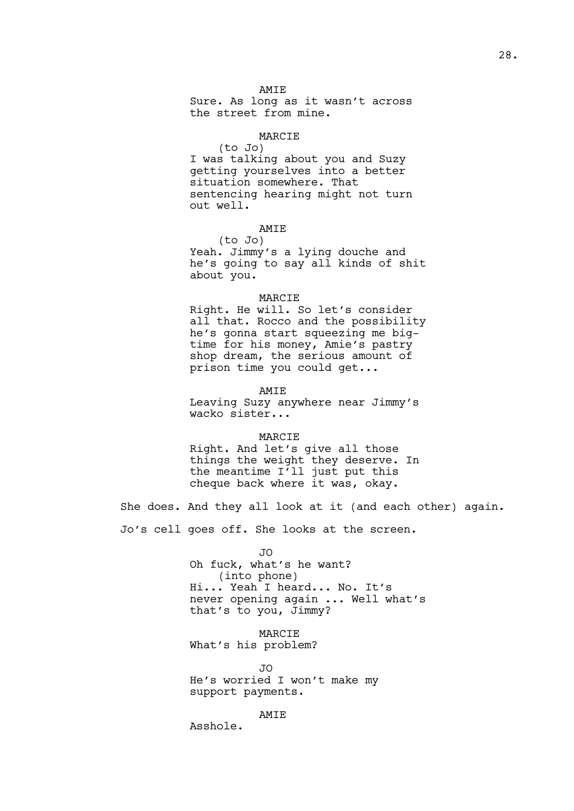AMIE

Sure. As long as it wasn't across the street from mine.

# MARCIE

(to Jo) I was talking about you and Suzy getting yourselves into a better situation somewhere. That sentencing hearing might not turn out well.

# AMIE

(to Jo) Yeah. Jimmy's a lying douche and he's going to say all kinds of shit about you.

#### MARCIE

Right. He will. So let's consider all that. Rocco and the possibility he's gonna start squeezing me bigtime for his money, Amie's pastry shop dream, the serious amount of prison time you could get...

AMIE

Leaving Suzy anywhere near Jimmy's wacko sister...

#### MARCIE

Right. And let's give all those things the weight they deserve. In the meantime I'll just put this cheque back where it was, okay.

She does. And they all look at it (and each other) again. Jo's cell goes off. She looks at the screen.

> JO Oh fuck, what's he want? (into phone) Hi... Yeah I heard... No. It's never opening again ... Well what's that's to you, Jimmy?

MARCIE What's his problem?

JO He's worried I won't make my support payments.

# AMIE

Asshole.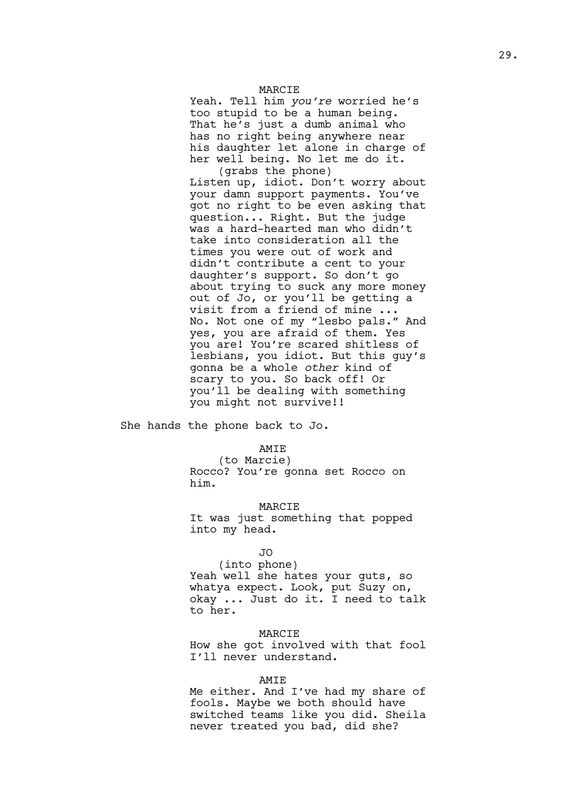Yeah. Tell him *you're* worried he's too stupid to be a human being. That he's just a dumb animal who has no right being anywhere near his daughter let alone in charge of her well being. No let me do it. (grabs the phone)

Listen up, idiot. Don't worry about your damn support payments. You've got no right to be even asking that question... Right. But the judge was a hard-hearted man who didn't take into consideration all the times you were out of work and didn't contribute a cent to your daughter's support. So don't go about trying to suck any more money out of Jo, or you'll be getting a visit from a friend of mine ... No. Not one of my "lesbo pals." And yes, you are afraid of them. Yes you are! You're scared shitless of lesbians, you idiot. But this guy's gonna be a whole *other* kind of scary to you. So back off! Or you'll be dealing with something you might not survive!!

She hands the phone back to Jo.

## AMIE

(to Marcie) Rocco? You're gonna set Rocco on him.

# **MARCIE**

It was just something that popped into my head.

## JO

(into phone)

Yeah well she hates your guts, so whatya expect. Look, put Suzy on, okay ... Just do it. I need to talk to her.

# MARCIE

How she got involved with that fool I'll never understand.

## AMIE

Me either. And I've had my share of fools. Maybe we both should have switched teams like you did. Sheila never treated you bad, did she?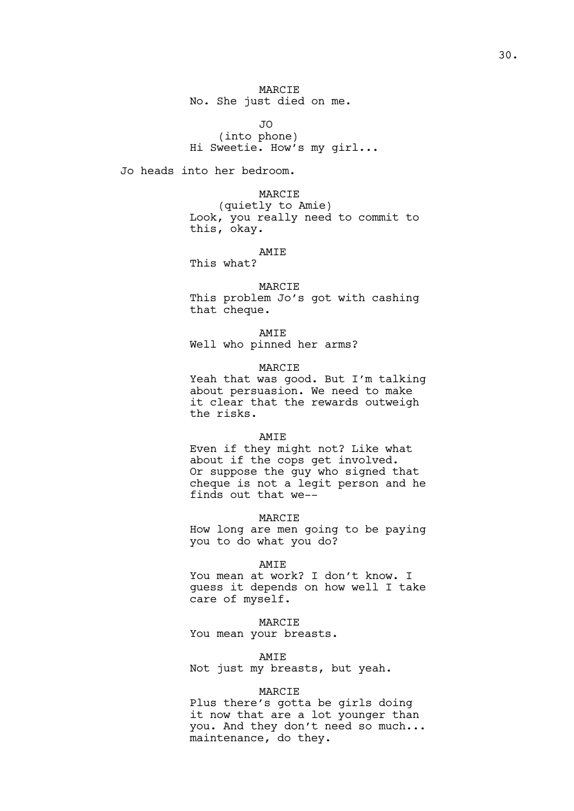MARCIE No. She just died on me.

JO (into phone) Hi Sweetie. How's my girl...

Jo heads into her bedroom.

MARCIE (quietly to Amie) Look, you really need to commit to this, okay.

AMIE

This what?

MARCIE This problem Jo's got with cashing that cheque.

AMIE

Well who pinned her arms?

MARCIE

Yeah that was good. But I'm talking about persuasion. We need to make it clear that the rewards outweigh the risks.

#### AMIE

Even if they might not? Like what about if the cops get involved. Or suppose the guy who signed that cheque is not a legit person and he finds out that we--

MARCIE

How long are men going to be paying you to do what you do?

#### AMIE

You mean at work? I don't know. I guess it depends on how well I take care of myself.

MARCIE You mean your breasts.

AMIE Not just my breasts, but yeah.

#### MARCIE

Plus there's gotta be girls doing it now that are a lot younger than you. And they don't need so much... maintenance, do they.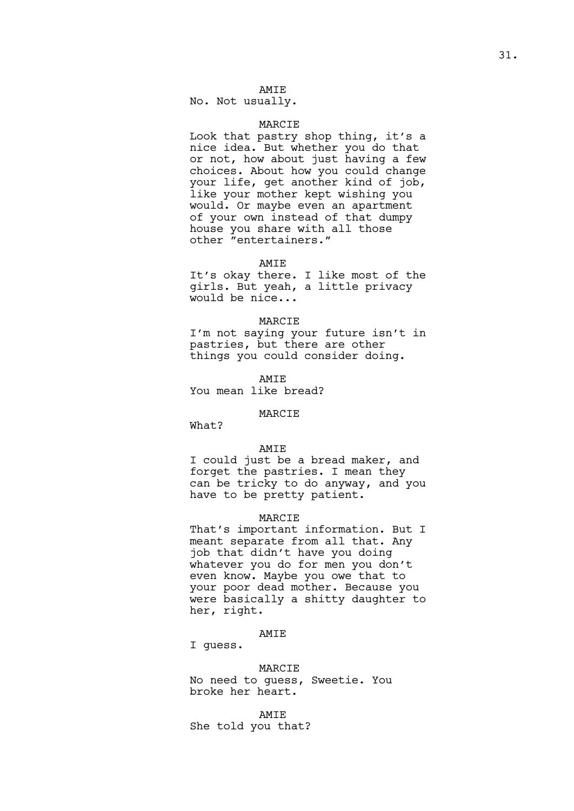# AMIE

No. Not usually.

# MARCIE

Look that pastry shop thing, it's a nice idea. But whether you do that or not, how about just having a few choices. About how you could change your life, get another kind of job, like your mother kept wishing you would. Or maybe even an apartment of your own instead of that dumpy house you share with all those other "entertainers."

#### AMIE

It's okay there. I like most of the girls. But yeah, a little privacy would be nice...

#### MARCIE

I'm not saying your future isn't in pastries, but there are other things you could consider doing.

AMIE You mean like bread?

## MARCIE

What?

## AMIE

I could just be a bread maker, and forget the pastries. I mean they can be tricky to do anyway, and you have to be pretty patient.

## MARCIE

That's important information. But I meant separate from all that. Any job that didn't have you doing whatever you do for men you don't even know. Maybe you owe that to your poor dead mother. Because you were basically a shitty daughter to her, right.

## AMIE

I guess.

#### MARCIE

No need to guess, Sweetie. You broke her heart.

AMIE

She told you that?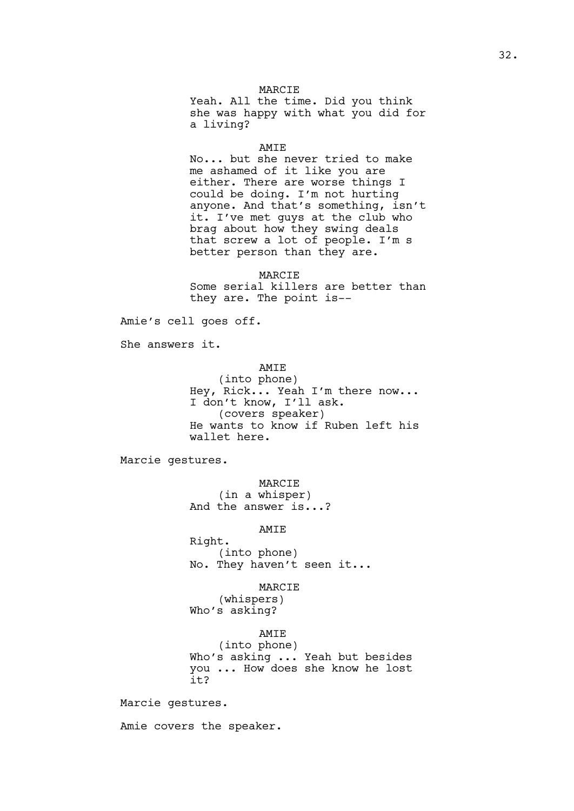Yeah. All the time. Did you think she was happy with what you did for a living?

#### AMIE

No... but she never tried to make me ashamed of it like you are either. There are worse things I could be doing. I'm not hurting anyone. And that's something, isn't it. I've met guys at the club who brag about how they swing deals that screw a lot of people. I'm s better person than they are.

MARCIE Some serial killers are better than they are. The point is--

Amie's cell goes off.

She answers it.

#### AMIE

(into phone) Hey, Rick... Yeah I'm there now... I don't know, I'll ask. (covers speaker) He wants to know if Ruben left his wallet here.

Marcie gestures.

MARCIE

(in a whisper) And the answer is...?

# AMIE

Right. (into phone) No. They haven't seen it...

#### MARCIE

(whispers) Who's asking?

AMIE

(into phone) Who's asking ... Yeah but besides you ... How does she know he lost it?

Marcie gestures.

Amie covers the speaker.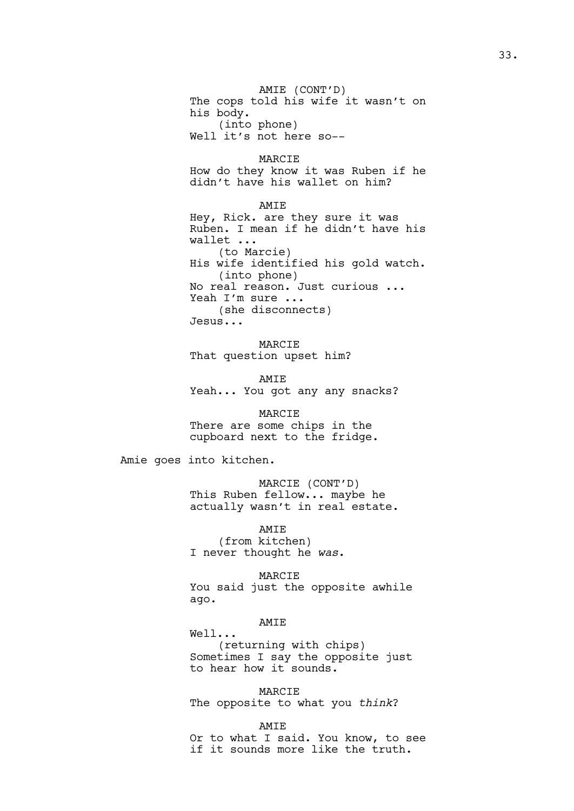AMIE (CONT'D) The cops told his wife it wasn't on his body. (into phone) Well it's not here so--

MARCIE How do they know it was Ruben if he didn't have his wallet on him?

AMIE Hey, Rick. are they sure it was Ruben. I mean if he didn't have his wallet ... (to Marcie) His wife identified his gold watch. (into phone) No real reason. Just curious ... Yeah I'm sure ... (she disconnects) Jesus...

MARCIE That question upset him?

AMIE Yeah... You got any any snacks?

MARCIE There are some chips in the cupboard next to the fridge.

Amie goes into kitchen.

MARCIE (CONT'D) This Ruben fellow... maybe he actually wasn't in real estate.

AMIE (from kitchen) I never thought he *was*.

MARCIE You said just the opposite awhile ago.

#### AMIE

Well... (returning with chips) Sometimes I say the opposite just to hear how it sounds.

MARCIE The opposite to what you *think*?

AMIE

Or to what I said. You know, to see if it sounds more like the truth.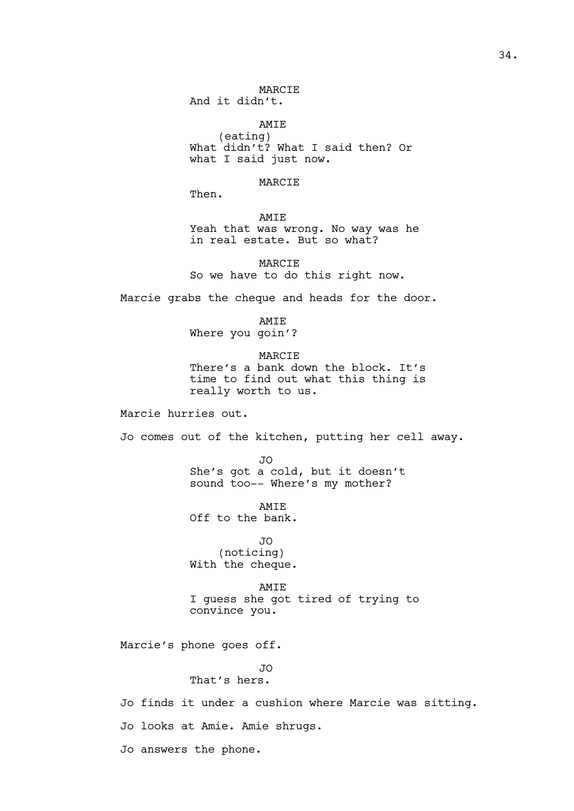MARCIE And it didn't.

AMIE (eating) What didn't? What I said then? Or what I said just now.

MARCIE

Then.

AMIE Yeah that was wrong. No way was he in real estate. But so what?

MARCIE So we have to do this right now.

Marcie grabs the cheque and heads for the door.

AMIE Where you goin'?

MARCIE There's a bank down the block. It's time to find out what this thing is really worth to us.

Marcie hurries out.

Jo comes out of the kitchen, putting her cell away.

JO She's got a cold, but it doesn't sound too-- Where's my mother?

AMIE Off to the bank.

JO (noticing) With the cheque.

## AMIE

I guess she got tired of trying to convince you.

Marcie's phone goes off.

JO That's hers.

Jo finds it under a cushion where Marcie was sitting.

Jo looks at Amie. Amie shrugs.

Jo answers the phone.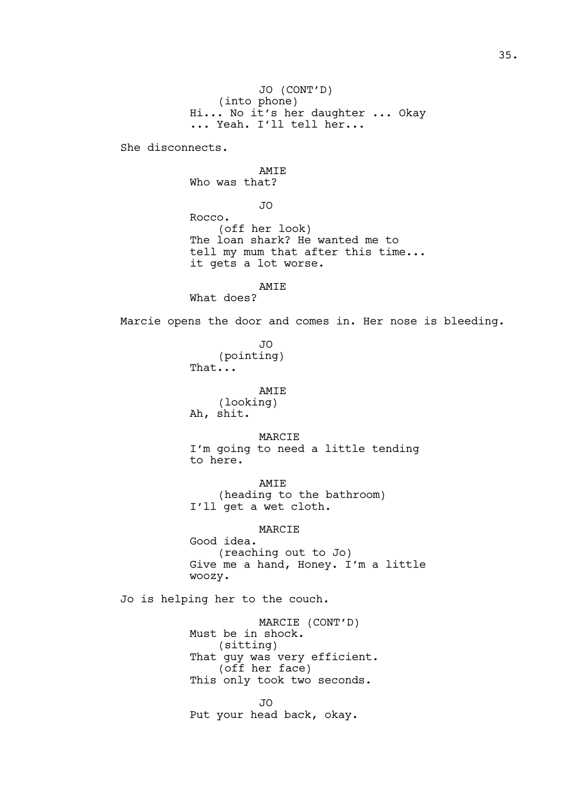JO (CONT'D) (into phone) Hi... No it's her daughter ... Okay ... Yeah. I'll tell her...

She disconnects.

AMIE Who was that?

JO

Rocco. (off her look) The loan shark? He wanted me to tell my mum that after this time... it gets a lot worse.

AMIE

What does?

Marcie opens the door and comes in. Her nose is bleeding.

JO (pointing) That...

> AMIE (looking)

Ah, shit.

MARCIE

I'm going to need a little tending to here.

AMIE (heading to the bathroom) I'll get a wet cloth.

# MARCIE

Good idea. (reaching out to Jo) Give me a hand, Honey. I'm a little woozy.

Jo is helping her to the couch.

MARCIE (CONT'D) Must be in shock. (sitting) That guy was very efficient. (off her face) This only took two seconds. JO

Put your head back, okay.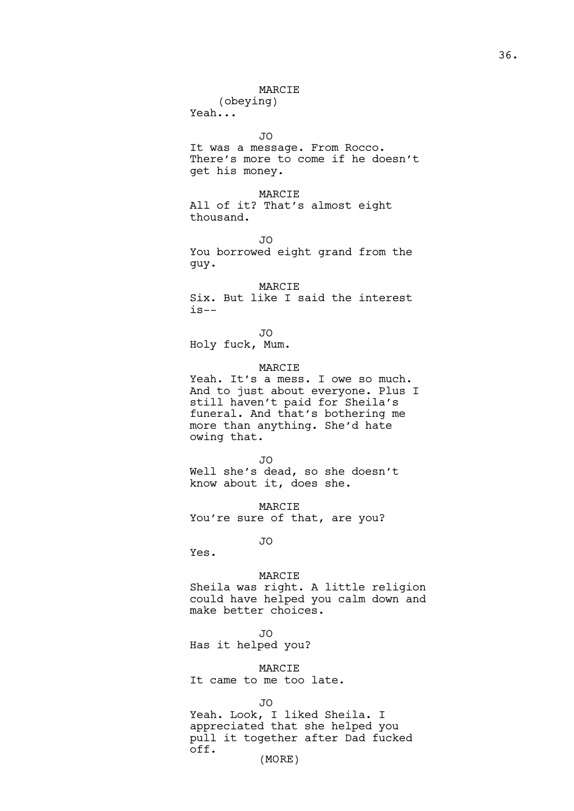### MARCIE

(obeying) Yeah...

JO

It was a message. From Rocco. There's more to come if he doesn't get his money.

MARCIE All of it? That's almost eight thousand.

JO

You borrowed eight grand from the guy.

MARCIE Six. But like I said the interest  $i s--$ 

JO

Holy fuck, Mum.

MARCIE

Yeah. It's a mess. I owe so much. And to just about everyone. Plus I still haven't paid for Sheila's funeral. And that's bothering me more than anything. She'd hate owing that.

JO Well she's dead, so she doesn't know about it, does she.

MARCIE You're sure of that, are you?

JO

Yes.

### MARCIE

Sheila was right. A little religion could have helped you calm down and make better choices.

JO

Has it helped you?

MARCIE

It came to me too late.

JO

Yeah. Look, I liked Sheila. I appreciated that she helped you pull it together after Dad fucked off.

(MORE)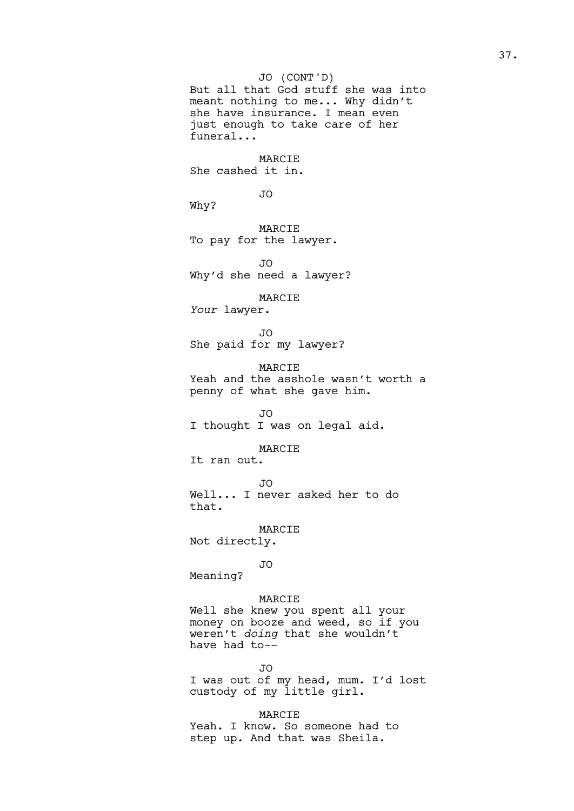But all that God stuff she was into meant nothing to me... Why didn't she have insurance. I mean even just enough to take care of her funeral... MARCIE She cashed it in. JO Why? MARCIE To pay for the lawyer. JO Why'd she need a lawyer? MARCIE *Your* lawyer. JO She paid for my lawyer? MARCIE Yeah and the asshole wasn't worth a penny of what she gave him. JO I thought I was on legal aid. MARCIE It ran out. JO Well... I never asked her to do that. MARCIE Not directly. JO Meaning? MARCIE Well she knew you spent all your money on booze and weed, so if you weren't *doing* that she wouldn't have had to-- JO (CONT'D)

JO I was out of my head, mum. I'd lost custody of my little girl.

MARCIE Yeah. I know. So someone had to step up. And that was Sheila.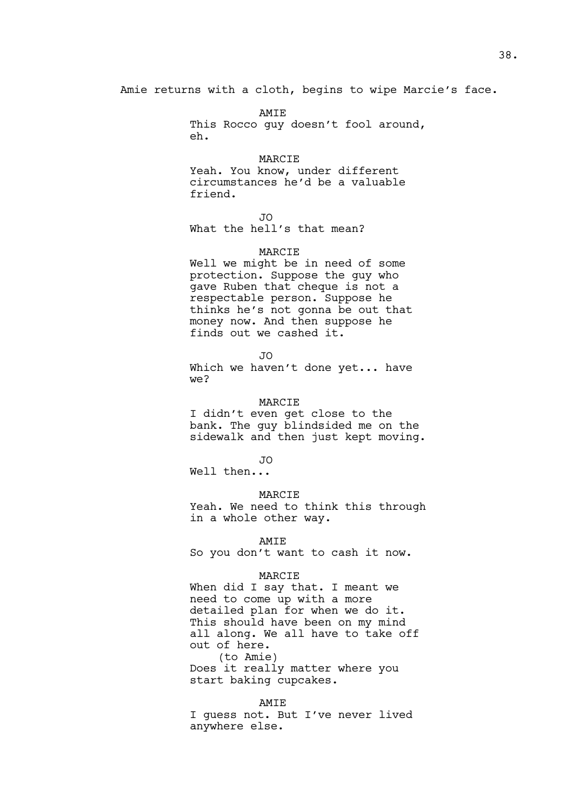Amie returns with a cloth, begins to wipe Marcie's face.

AMIE This Rocco quy doesn't fool around, eh.

MARCIE

Yeah. You know, under different circumstances he'd be a valuable friend.

JO

What the hell's that mean?

### MARCIE

Well we might be in need of some protection. Suppose the guy who gave Ruben that cheque is not a respectable person. Suppose he thinks he's not gonna be out that money now. And then suppose he finds out we cashed it.

JO

Which we haven't done yet... have we?

MARCIE

I didn't even get close to the bank. The guy blindsided me on the sidewalk and then just kept moving.

JO

Well then...

### MARCIE

Yeah. We need to think this through in a whole other way.

#### AMIE

So you don't want to cash it now.

#### MARCIE

When did I say that. I meant we need to come up with a more detailed plan for when we do it. This should have been on my mind all along. We all have to take off out of here. (to Amie)

Does it really matter where you start baking cupcakes.

### AMIE

I guess not. But I've never lived anywhere else.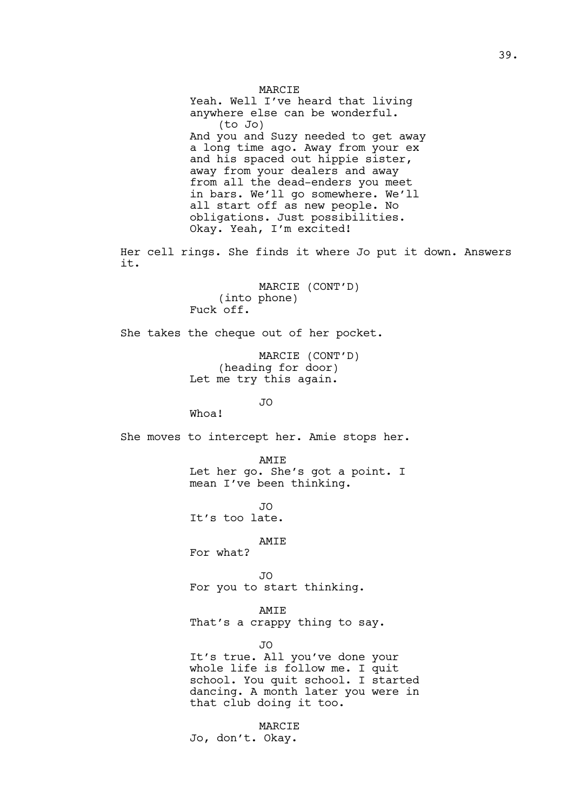MARCIE Yeah. Well I've heard that living anywhere else can be wonderful. (to Jo) And you and Suzy needed to get away a long time ago. Away from your ex and his spaced out hippie sister, away from your dealers and away from all the dead-enders you meet in bars. We'll go somewhere. We'll all start off as new people. No obligations. Just possibilities. Okay. Yeah, I'm excited!

Her cell rings. She finds it where Jo put it down. Answers it.

> MARCIE (CONT'D) (into phone) Fuck off.

She takes the cheque out of her pocket.

MARCIE (CONT'D) (heading for door) Let me try this again.

JO

Whoa!

She moves to intercept her. Amie stops her.

AMIE Let her go. She's got a point. I mean I've been thinking.

JO It's too late.

AMIE

For what?

JO For you to start thinking.

AMIE

That's a crappy thing to say.

JO

It's true. All you've done your whole life is follow me. I quit school. You quit school. I started dancing. A month later you were in that club doing it too.

MARCIE Jo, don't. Okay.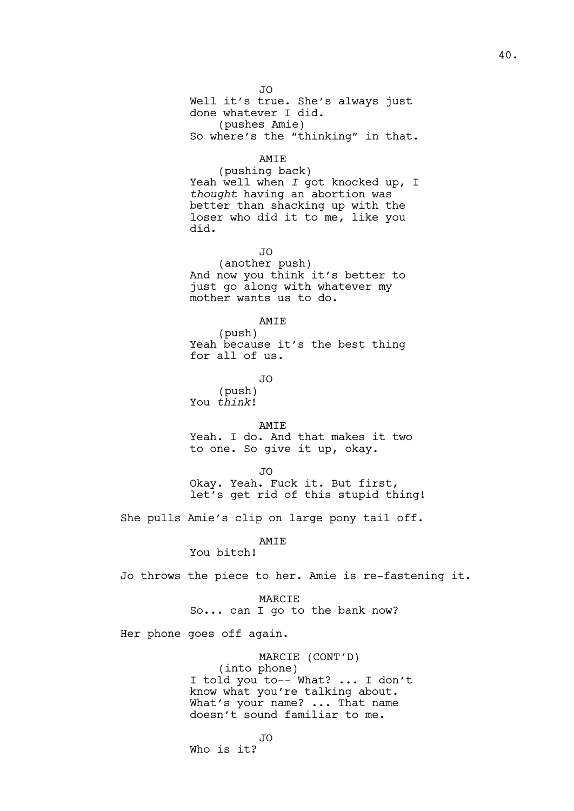JO Well it's true. She's always just done whatever I did. (pushes Amie) So where's the "thinking" in that.

### AMIE

(pushing back) Yeah well when *I* got knocked up, I *thought* having an abortion was better than shacking up with the loser who did it to me, like you did.

JO

(another push) And now you think it's better to just go along with whatever my mother wants us to do.

# AMIE

(push) Yeah because it's the best thing for all of us.

JO

(push) You *think*!

AMIE Yeah. I do. And that makes it two to one. So give it up, okay.

JO

Okay. Yeah. Fuck it. But first, let's get rid of this stupid thing!

She pulls Amie's clip on large pony tail off.

AMIE

You bitch!

Jo throws the piece to her. Amie is re-fastening it.

#### MARCIE

So... can I go to the bank now?

Her phone goes off again.

MARCIE (CONT'D) (into phone) I told you to-- What? ... I don't know what you're talking about. What's your name? ... That name doesn't sound familiar to me.

JO

Who is it?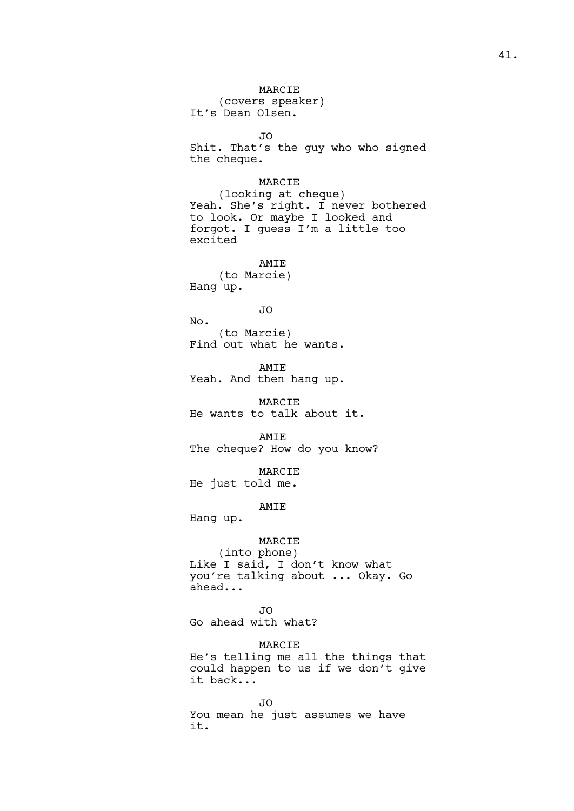MARCIE (covers speaker) It's Dean Olsen. JO Shit. That's the guy who who signed the cheque. MARCIE (looking at cheque) Yeah. She's right. I never bothered to look. Or maybe I looked and forgot. I guess I'm a little too excited AMIE (to Marcie) Hang up. JO No. (to Marcie) Find out what he wants. AMIE Yeah. And then hang up. MARCIE He wants to talk about it. AMIE The cheque? How do you know? MARCIE He just told me. AMIE Hang up. MARCIE (into phone) Like I said, I don't know what you're talking about ... Okay. Go ahead... JO Go ahead with what? MARCIE He's telling me all the things that could happen to us if we don't give it back... JO You mean he just assumes we have it.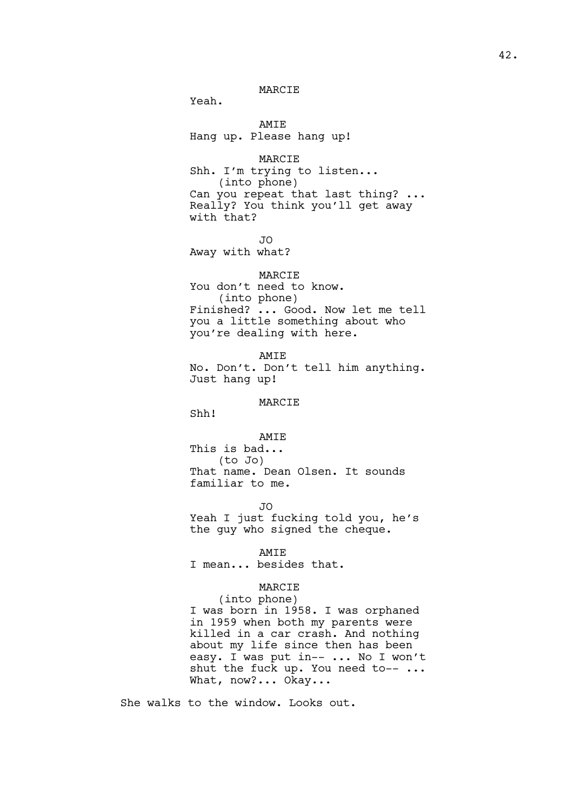MARCIE

Yeah.

AMIE Hang up. Please hang up!

MARCIE Shh. I'm trying to listen... (into phone) Can you repeat that last thing? ... Really? You think you'll get away with that?

JO Away with what?

### MARCIE

You don't need to know. (into phone) Finished? ... Good. Now let me tell you a little something about who you're dealing with here.

AMIE No. Don't. Don't tell him anything. Just hang up!

#### MARCIE

Shh!

AMIE

This is bad... (to Jo) That name. Dean Olsen. It sounds familiar to me.

JO

Yeah I just fucking told you, he's the guy who signed the cheque.

AMIE

I mean... besides that.

### MARCIE

(into phone) I was born in 1958. I was orphaned in 1959 when both my parents were killed in a car crash. And nothing about my life since then has been easy. I was put in-- ... No I won't shut the fuck up. You need to-- ... What, now?... Okay...

She walks to the window. Looks out.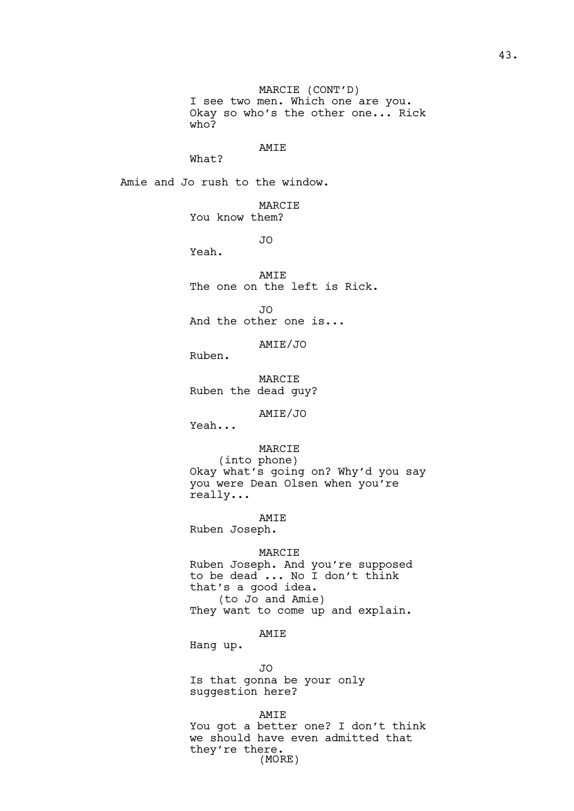MARCIE (CONT'D) I see two men. Which one are you. Okay so who's the other one... Rick who?

### AMIE

What?

Amie and Jo rush to the window.

MARCIE You know them?

JO

Yeah.

AMIE The one on the left is Rick.

JO

And the other one is...

AMIE/JO

Ruben.

MARCIE Ruben the dead guy?

AMIE/JO

Yeah...

# MARCIE

(into phone) Okay what's going on? Why'd you say you were Dean Olsen when you're really...

AMIE

Ruben Joseph.

#### MARCIE

Ruben Joseph. And you're supposed to be dead ... No I don't think that's a good idea. (to Jo and Amie) They want to come up and explain.

AMIE

Hang up.

JO Is that gonna be your only suggestion here?

AMIE You got a better one? I don't think we should have even admitted that they're there. (MORE)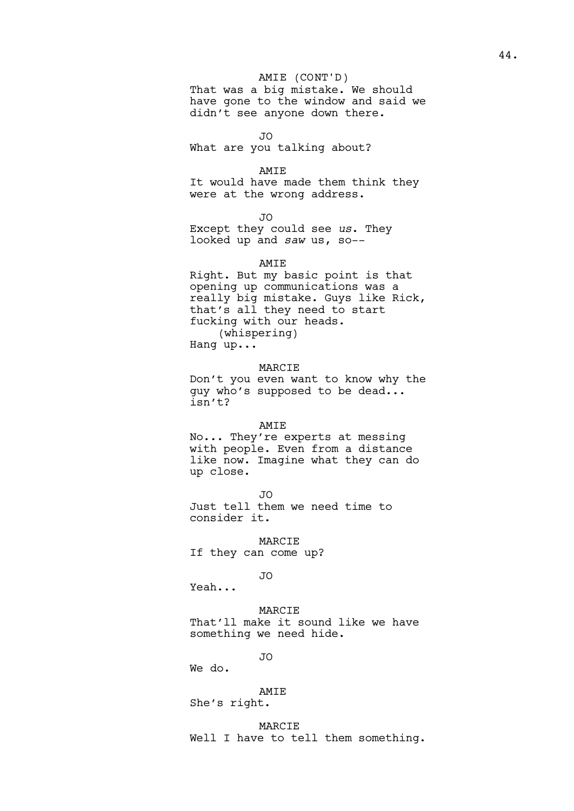# AMIE (CONT'D)

That was a big mistake. We should have gone to the window and said we didn't see anyone down there.

 $\overline{J}$ 

What are you talking about?

AMIE

It would have made them think they were at the wrong address.

JO

Except they could see *us*. They looked up and *saw* us, so--

AMIE

Right. But my basic point is that opening up communications was a really big mistake. Guys like Rick, that's all they need to start fucking with our heads. (whispering) Hang up...

MARCIE

Don't you even want to know why the guy who's supposed to be dead... isn't?

### AMIE

No... They're experts at messing with people. Even from a distance like now. Imagine what they can do up close.

JO Just tell them we need time to consider it.

MARCIE If they can come up?

JO

Yeah...

MARCIE

That'll make it sound like we have something we need hide.

JO

We do.

### AMIE

She's right.

MARCIE Well I have to tell them something.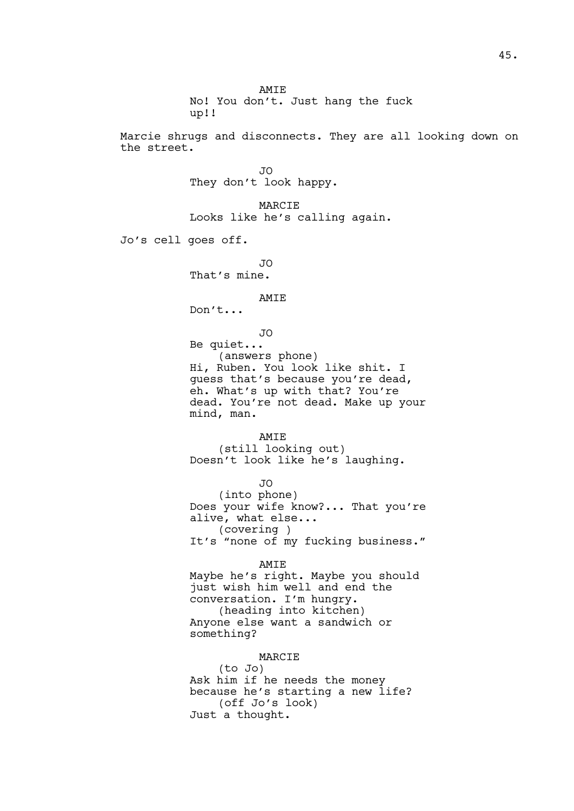AMIE No! You don't. Just hang the fuck up!!

Marcie shrugs and disconnects. They are all looking down on the street.

> JO They don't look happy.

MARCIE Looks like he's calling again.

Jo's cell goes off.

JO That's mine.

#### AMIE

Don't...

JO

Be quiet... (answers phone) Hi, Ruben. You look like shit. I guess that's because you're dead, eh. What's up with that? You're dead. You're not dead. Make up your mind, man.

AMIE (still looking out) Doesn't look like he's laughing.

JO (into phone) Does your wife know?... That you're alive, what else... (covering ) It's "none of my fucking business."

AMIE Maybe he's right. Maybe you should just wish him well and end the conversation. I'm hungry. (heading into kitchen) Anyone else want a sandwich or something?

### MARCIE

(to Jo) Ask him if he needs the money because he's starting a new life? (off Jo's look) Just a thought.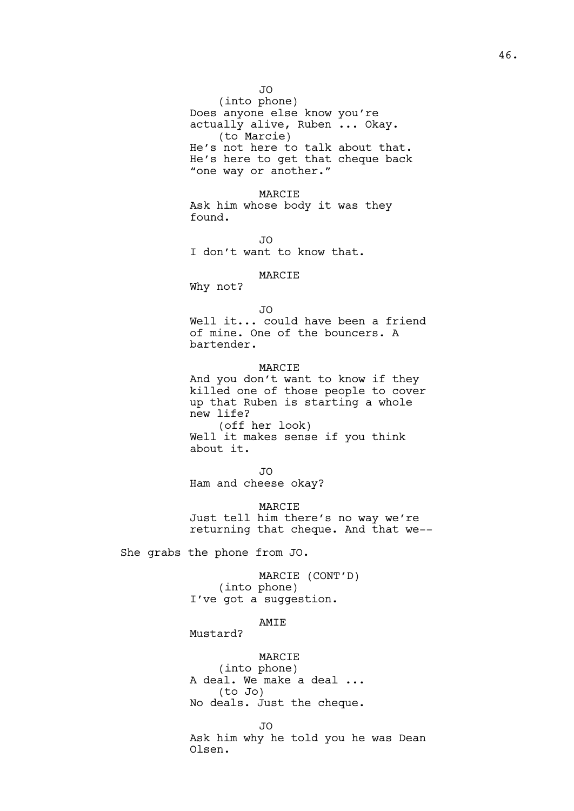JO (into phone) Does anyone else know you're actually alive, Ruben ... Okay. (to Marcie) He's not here to talk about that. He's here to get that cheque back "one way or another."

MARCIE Ask him whose body it was they found.

JO I don't want to know that.

### MARCIE

Why not?

```
JO
```
Well it... could have been a friend of mine. One of the bouncers. A bartender.

#### MARCIE

And you don't want to know if they killed one of those people to cover up that Ruben is starting a whole new life? (off her look) Well it makes sense if you think about it.

JO

Ham and cheese okay?

### MARCIE

Just tell him there's no way we're returning that cheque. And that we--

She grabs the phone from JO.

MARCIE (CONT'D) (into phone) I've got a suggestion.

### AMIE

Mustard?

#### MARCIE

(into phone) A deal. We make a deal ... (to Jo) No deals. Just the cheque.

JO

Ask him why he told you he was Dean Olsen.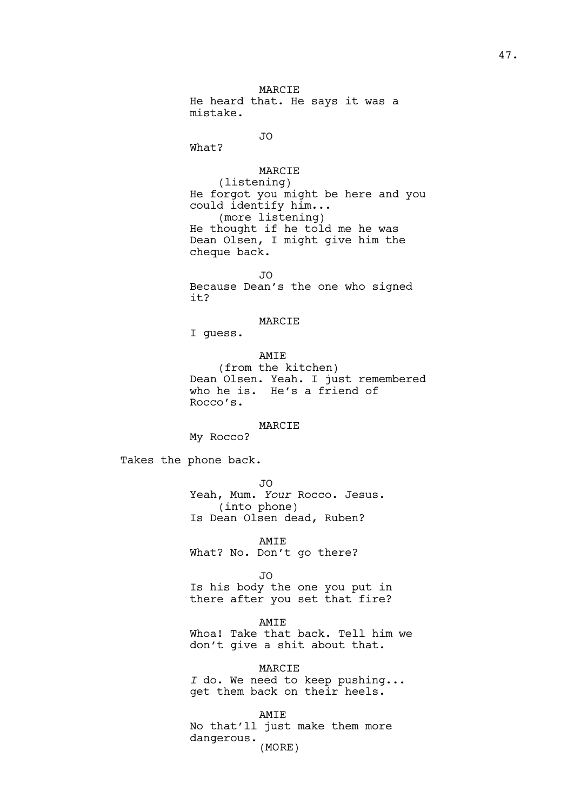MARCIE He heard that. He says it was a mistake.

JO

What?

# MARCIE

(listening) He forgot you might be here and you could identify him... (more listening) He thought if he told me he was Dean Olsen, I might give him the cheque back.

JO Because Dean's the one who signed it?

# MARCIE

I guess.

AMIE (from the kitchen) Dean Olsen. Yeah. I just remembered who he is. He's a friend of Rocco's.

### MARCIE

My Rocco?

Takes the phone back.

JO Yeah, Mum. *Your* Rocco. Jesus. (into phone) Is Dean Olsen dead, Ruben?

AMIE What? No. Don't go there?

JO

Is his body the one you put in there after you set that fire?

# AMIE

Whoa! Take that back. Tell him we don't give a shit about that.

MARCIE *I* do. We need to keep pushing... get them back on their heels.

AMIE No that'll just make them more dangerous. (MORE)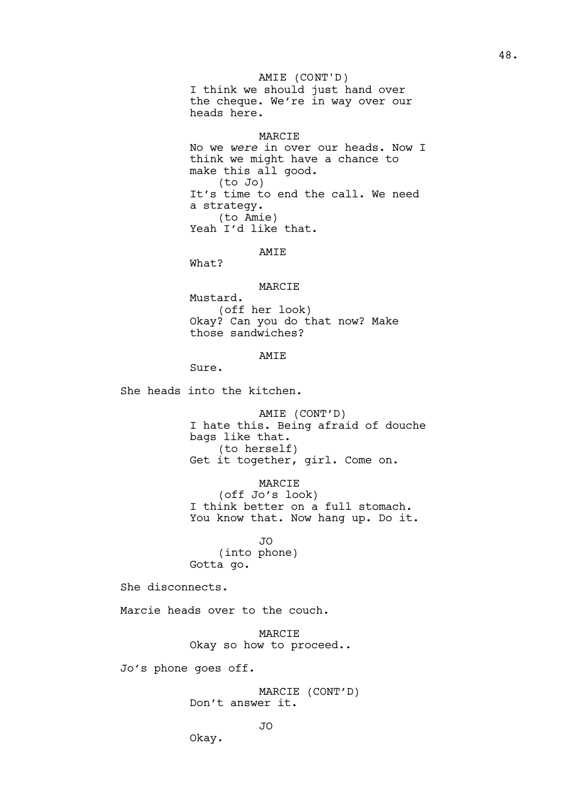AMIE (CONT'D)

I think we should just hand over the cheque. We're in way over our heads here.

### MARCIE

No we *were* in over our heads. Now I think we might have a chance to make this all good. (to Jo) It's time to end the call. We need a strategy. (to Amie) Yeah I'd like that.

# AMIE

What?

MARCIE

Mustard. (off her look) Okay? Can you do that now? Make those sandwiches?

# AMIE

Sure.

She heads into the kitchen.

AMIE (CONT'D) I hate this. Being afraid of douche bags like that. (to herself) Get it together, girl. Come on.

MARCIE

(off Jo's look) I think better on a full stomach. You know that. Now hang up. Do it.

JO (into phone) Gotta go.

She disconnects.

Marcie heads over to the couch.

MARCIE Okay so how to proceed..

Jo's phone goes off.

MARCIE (CONT'D) Don't answer it.

Okay.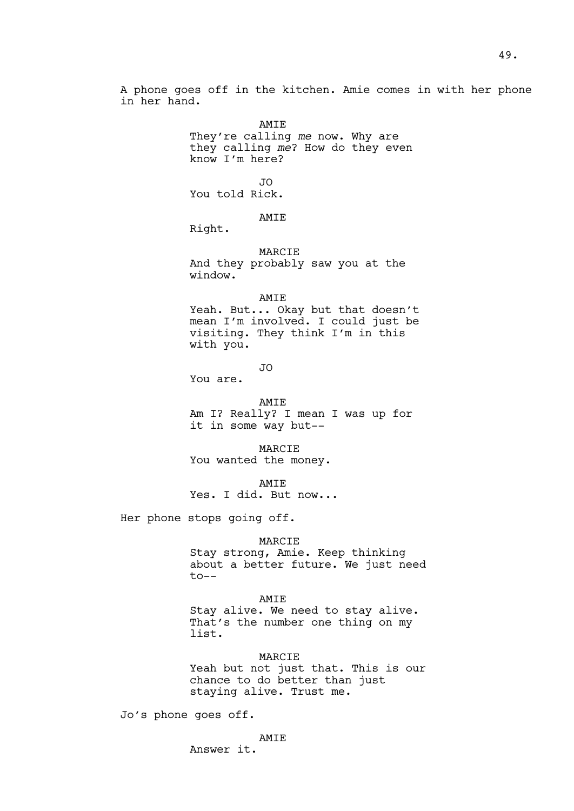A phone goes off in the kitchen. Amie comes in with her phone in her hand.

> AMIE They're calling *me* now. Why are they calling *me*? How do they even know I'm here?

JO You told Rick.

AMIE

Right.

MARCIE

And they probably saw you at the window.

AMIE

Yeah. But... Okay but that doesn't mean I'm involved. I could just be visiting. They think I'm in this with you.

JO

You are.

AMIE

Am I? Really? I mean I was up for it in some way but--

MARCIE You wanted the money.

AMIE

Yes. I did. But now...

Her phone stops going off.

### MARCIE

Stay strong, Amie. Keep thinking about a better future. We just need to--

AMIE

Stay alive. We need to stay alive. That's the number one thing on my list.

#### MARCIE

Yeah but not just that. This is our chance to do better than just staying alive. Trust me.

Jo's phone goes off.

AMIE

Answer it.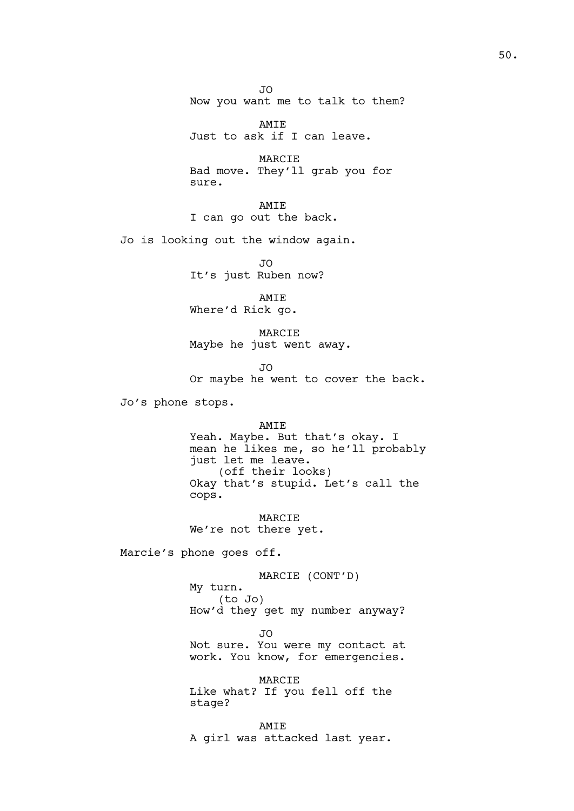JO Now you want me to talk to them?

AMIE Just to ask if I can leave.

MARCIE Bad move. They'll grab you for sure.

AMIE I can go out the back.

Jo is looking out the window again.

JO It's just Ruben now?

AMIE Where'd Rick go.

MARCIE Maybe he just went away.

JO

Or maybe he went to cover the back.

Jo's phone stops.

AMIE Yeah. Maybe. But that's okay. I mean he likes me, so he'll probably just let me leave. (off their looks) Okay that's stupid. Let's call the cops.

MARCIE We're not there yet.

Marcie's phone goes off.

MARCIE (CONT'D) My turn. (to Jo) How'd they get my number anyway?

JO Not sure. You were my contact at

work. You know, for emergencies. MARCIE

Like what? If you fell off the stage?

AMIE A girl was attacked last year.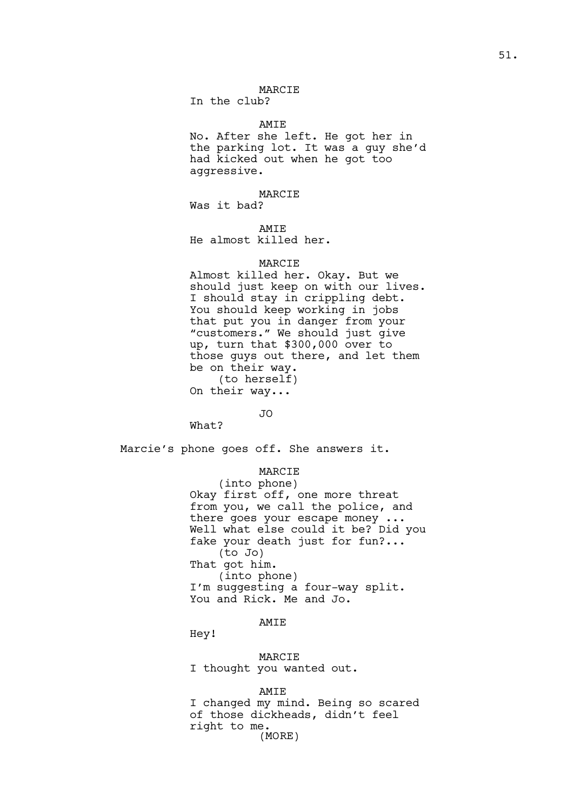#### MARCIE

In the club?

#### AMIE

No. After she left. He got her in the parking lot. It was a guy she'd had kicked out when he got too aggressive.

### MARCIE

Was it bad?

AMIE

He almost killed her.

## MARCIE

Almost killed her. Okay. But we should just keep on with our lives. I should stay in crippling debt. You should keep working in jobs that put you in danger from your "customers." We should just give up, turn that \$300,000 over to those guys out there, and let them be on their way. (to herself) On their way...

### JO

What?

Marcie's phone goes off. She answers it.

#### MARCIE

(into phone) Okay first off, one more threat from you, we call the police, and there goes your escape money ... Well what else could it be? Did you fake your death just for fun?... (to Jo) That got him. (into phone) I'm suggesting a four-way split. You and Rick. Me and Jo.

### AMIE

Hey!

MARCIE I thought you wanted out.

#### AMIE

I changed my mind. Being so scared of those dickheads, didn't feel right to me. (MORE)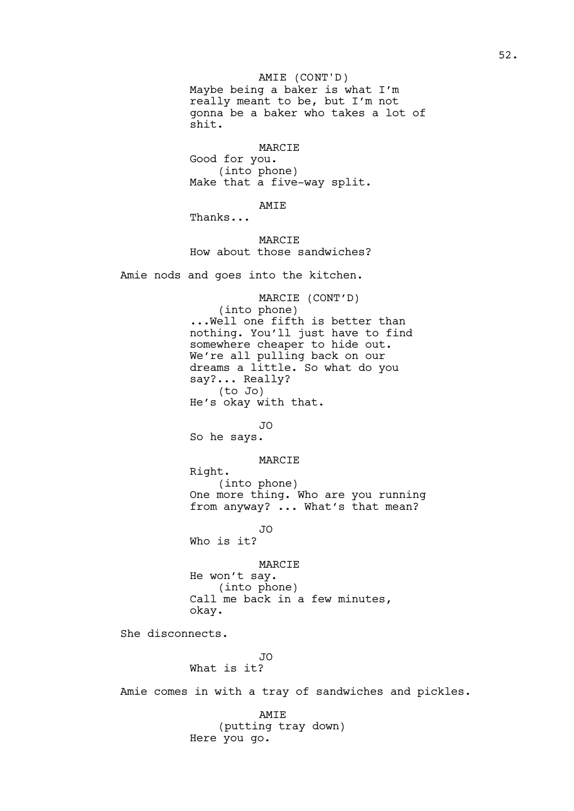Maybe being a baker is what I'm really meant to be, but I'm not gonna be a baker who takes a lot of shit. AMIE (CONT'D)

MARCIE Good for you. (into phone) Make that a five-way split.

AMIE

Thanks...

MARCIE How about those sandwiches?

Amie nods and goes into the kitchen.

MARCIE (CONT'D) (into phone) ...Well one fifth is better than nothing. You'll just have to find somewhere cheaper to hide out. We're all pulling back on our dreams a little. So what do you say?... Really? (to Jo) He's okay with that.

JO

So he says.

MARCIE

Right. (into phone) One more thing. Who are you running from anyway? ... What's that mean?

JO

Who is it?

MARCIE

He won't say. (into phone) Call me back in a few minutes, okay.

She disconnects.

JO What is it?

Amie comes in with a tray of sandwiches and pickles.

AMIE (putting tray down) Here you go.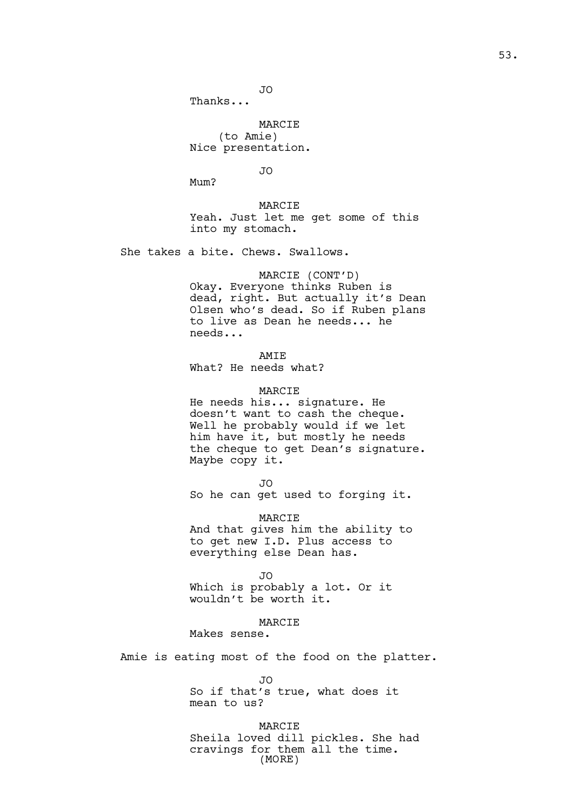JO

Thanks...

MARCIE (to Amie) Nice presentation.

JO

Mum?

MARCIE

Yeah. Just let me get some of this into my stomach.

She takes a bite. Chews. Swallows.

### MARCIE (CONT'D)

Okay. Everyone thinks Ruben is dead, right. But actually it's Dean Olsen who's dead. So if Ruben plans to live as Dean he needs... he needs...

AMIE What? He needs what?

# MARCIE

He needs his... signature. He doesn't want to cash the cheque. Well he probably would if we let him have it, but mostly he needs the cheque to get Dean's signature. Maybe copy it.

JO

So he can get used to forging it.

MARCIE And that gives him the ability to to get new I.D. Plus access to everything else Dean has.

JO

Which is probably a lot. Or it wouldn't be worth it.

MARCIE

Makes sense.

Amie is eating most of the food on the platter.

JO

So if that's true, what does it mean to us?

MARCIE Sheila loved dill pickles. She had cravings for them all the time. (MORE)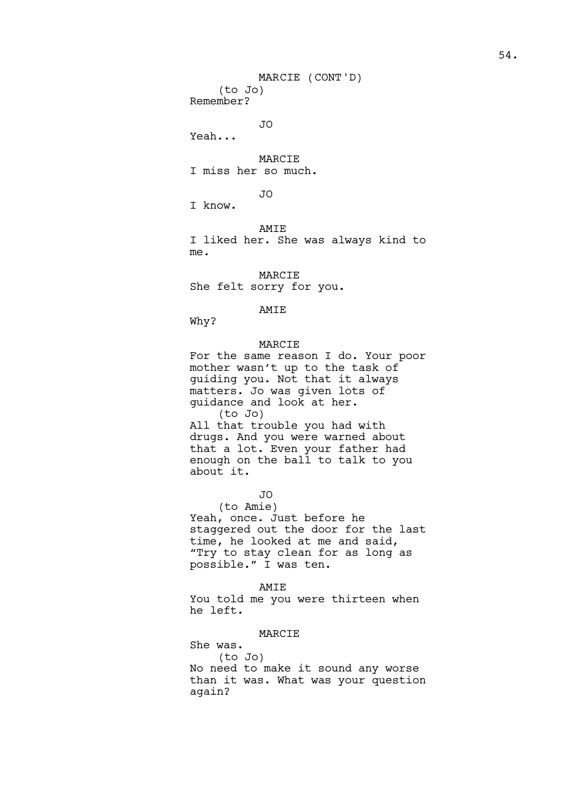(to Jo) Remember?

JO

Yeah...

MARCIE I miss her so much.

JO

I know.

AMIE

I liked her. She was always kind to me.

MARCIE She felt sorry for you.

AMIE

Why?

# MARCIE

For the same reason I do. Your poor mother wasn't up to the task of guiding you. Not that it always matters. Jo was given lots of guidance and look at her. (to Jo) All that trouble you had with drugs. And you were warned about that a lot. Even your father had enough on the ball to talk to you about it.

JO

(to Amie) Yeah, once. Just before he staggered out the door for the last time, he looked at me and said, "Try to stay clean for as long as possible." I was ten.

AMIE

You told me you were thirteen when he left.

# MARCIE

She was. (to Jo) No need to make it sound any worse than it was. What was your question again?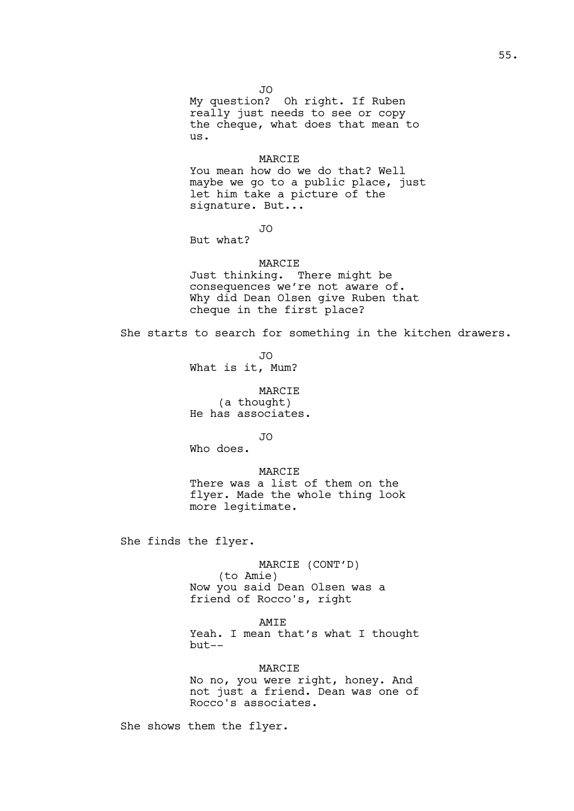JO My question? Oh right. If Ruben really just needs to see or copy the cheque, what does that mean to us.

### MARCIE

You mean how do we do that? Well maybe we go to a public place, just let him take a picture of the signature. But...

JO

But what?

# MARCIE

Just thinking. There might be consequences we're not aware of. Why did Dean Olsen give Ruben that cheque in the first place?

She starts to search for something in the kitchen drawers.

JO What is it, Mum?

MARCIE (a thought) He has associates.

JO

Who does.

MARCIE There was a list of them on the flyer. Made the whole thing look more legitimate.

She finds the flyer.

MARCIE (CONT'D)

(to Amie) Now you said Dean Olsen was a friend of Rocco's, right

AMIE

Yeah. I mean that's what I thought but--

MARCIE No no, you were right, honey. And not just a friend. Dean was one of Rocco's associates.

She shows them the flyer.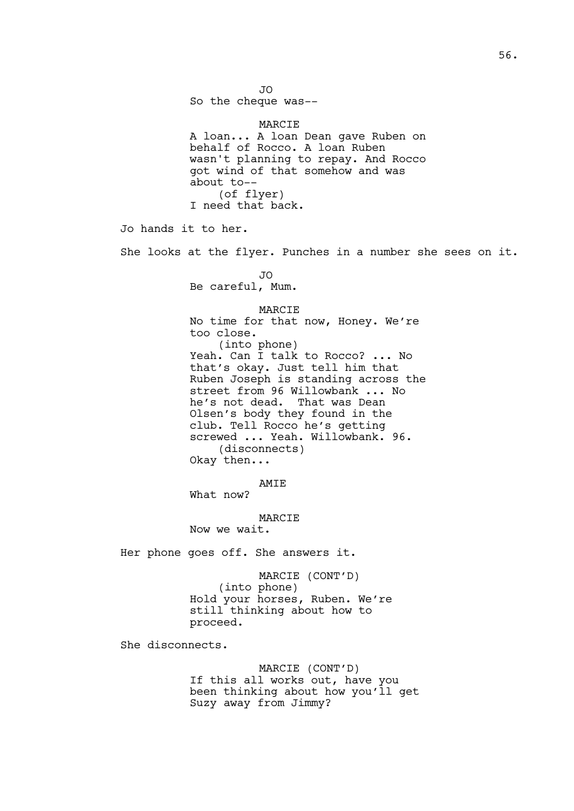JO So the cheque was-- MARCIE A loan... A loan Dean gave Ruben on behalf of Rocco. A loan Ruben wasn't planning to repay. And Rocco got wind of that somehow and was about to-- (of flyer) I need that back. Jo hands it to her. She looks at the flyer. Punches in a number she sees on it. JO Be careful, Mum. MARCIE No time for that now, Honey. We're too close. (into phone) Yeah. Can I talk to Rocco? ... No that's okay. Just tell him that Ruben Joseph is standing across the street from 96 Willowbank ... No he's not dead. That was Dean Olsen's body they found in the club. Tell Rocco he's getting screwed ... Yeah. Willowbank. 96. (disconnects) Okay then... AMIE What now? MARCIE Now we wait. Her phone goes off. She answers it. MARCIE (CONT'D) (into phone) Hold your horses, Ruben. We're still thinking about how to proceed. She disconnects. MARCIE (CONT'D) If this all works out, have you been thinking about how you'll get Suzy away from Jimmy?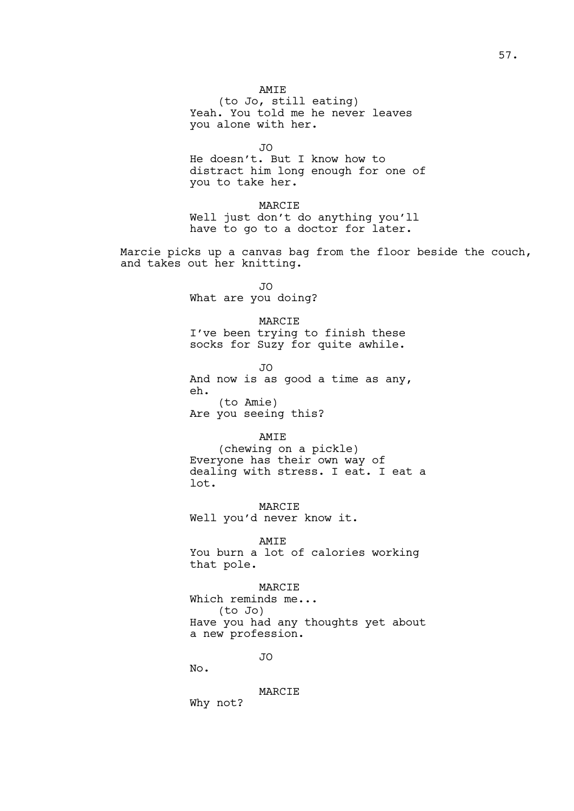### AMIE

(to Jo, still eating) Yeah. You told me he never leaves you alone with her.

JO

He doesn't. But I know how to distract him long enough for one of you to take her.

MARCIE Well just don't do anything you'll have to go to a doctor for later.

Marcie picks up a canvas bag from the floor beside the couch, and takes out her knitting.

> JO What are you doing?

#### MARCIE

I've been trying to finish these socks for Suzy for quite awhile.

JO

And now is as good a time as any, eh. (to Amie)

Are you seeing this?

# AMIE

(chewing on a pickle) Everyone has their own way of dealing with stress. I eat. I eat a lot.

MARCIE Well you'd never know it.

AMIE

You burn a lot of calories working that pole.

# MARCIE

Which reminds me... (to Jo) Have you had any thoughts yet about a new profession.

JO

No.

MARCIE Why not?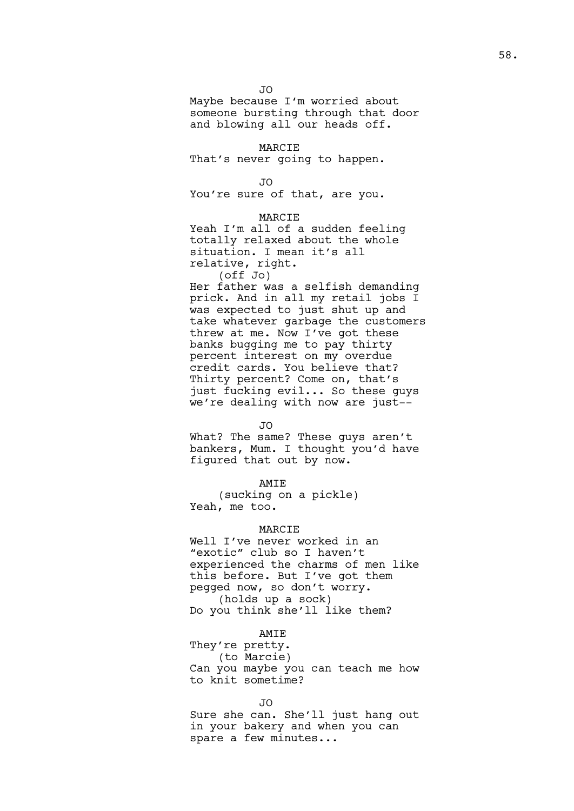JO Maybe because I'm worried about someone bursting through that door and blowing all our heads off.

MARCIE That's never going to happen.

JO

You're sure of that, are you.

**MARCIE** 

Yeah I'm all of a sudden feeling totally relaxed about the whole situation. I mean it's all relative, right. (off Jo)

Her father was a selfish demanding prick. And in all my retail jobs I was expected to just shut up and take whatever garbage the customers threw at me. Now I've got these banks bugging me to pay thirty percent interest on my overdue credit cards. You believe that? Thirty percent? Come on, that's just fucking evil... So these guys we're dealing with now are just--

JO

What? The same? These guys aren't bankers, Mum. I thought you'd have figured that out by now.

AMIE

(sucking on a pickle) Yeah, me too.

### MARCIE

Well I've never worked in an "exotic" club so I haven't experienced the charms of men like this before. But I've got them pegged now, so don't worry. (holds up a sock) Do you think she'll like them?

AMIE

They're pretty. (to Marcie) Can you maybe you can teach me how to knit sometime?

JO

Sure she can. She'll just hang out in your bakery and when you can spare a few minutes...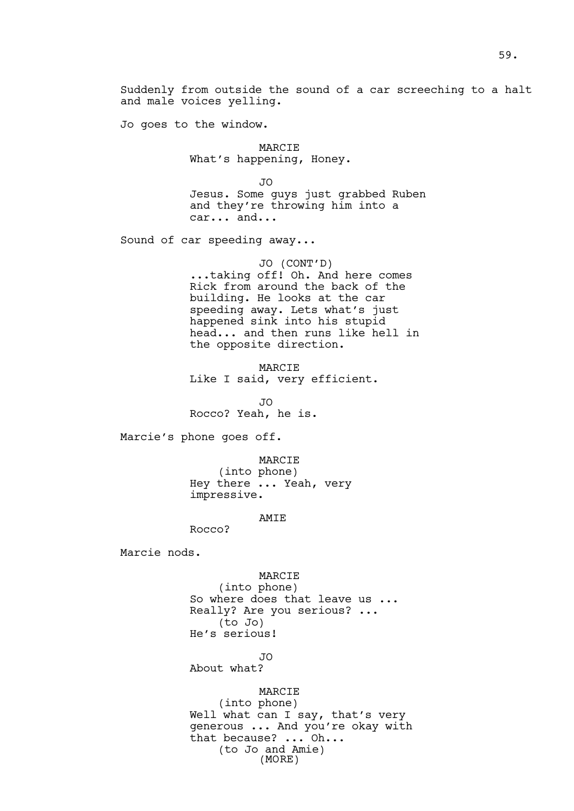Suddenly from outside the sound of a car screeching to a halt and male voices yelling.

Jo goes to the window.

MARCIE What's happening, Honey.

JO

Jesus. Some guys just grabbed Ruben and they're throwing him into a car... and...

Sound of car speeding away...

JO (CONT'D) ...taking off! Oh. And here comes Rick from around the back of the building. He looks at the car speeding away. Lets what's just happened sink into his stupid head... and then runs like hell in the opposite direction.

MARCIE Like I said, very efficient.

JO Rocco? Yeah, he is.

Marcie's phone goes off.

MARCIE (into phone) Hey there ... Yeah, very impressive.

AMIE

Rocco?

Marcie nods.

MARCIE (into phone) So where does that leave us ... Really? Are you serious? ... (to Jo) He's serious!

JO

About what?

MARCIE (into phone) Well what can I say, that's very generous ... And you're okay with that because? ... Oh... (to Jo and Amie) (MORE)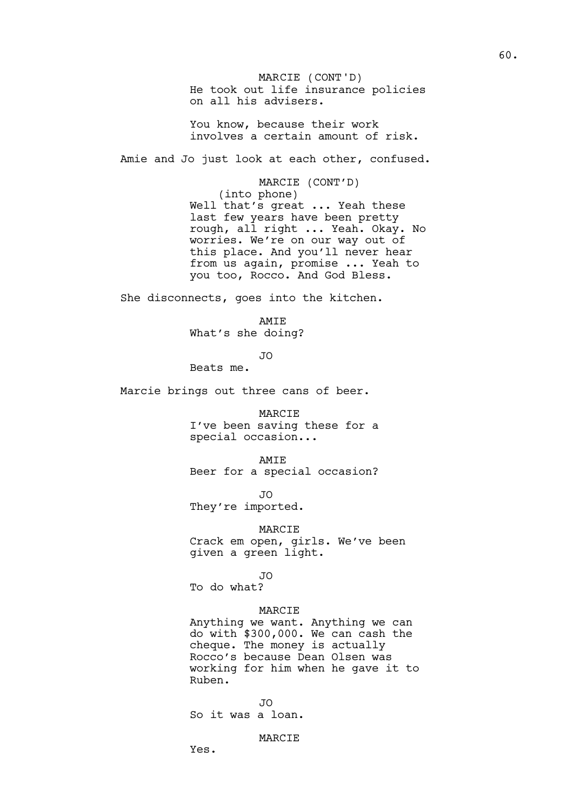He took out life insurance policies on all his advisers. MARCIE (CONT'D)

You know, because their work involves a certain amount of risk.

Amie and Jo just look at each other, confused.

MARCIE (CONT'D) (into phone) Well that's great ... Yeah these last few years have been pretty rough, all right ... Yeah. Okay. No worries. We're on our way out of this place. And you'll never hear from us again, promise ... Yeah to you too, Rocco. And God Bless.

She disconnects, goes into the kitchen.

AMIE What's she doing?

JO

Beats me.

Marcie brings out three cans of beer.

MARCIE

I've been saving these for a special occasion...

AMIE

Beer for a special occasion?

JO

They're imported.

MARCIE

Crack em open, girls. We've been given a green light.

JO To do what?

### MARCIE

Anything we want. Anything we can do with \$300,000. We can cash the cheque. The money is actually Rocco's because Dean Olsen was working for him when he gave it to Ruben.

JO So it was a loan.

MARCIE

Yes.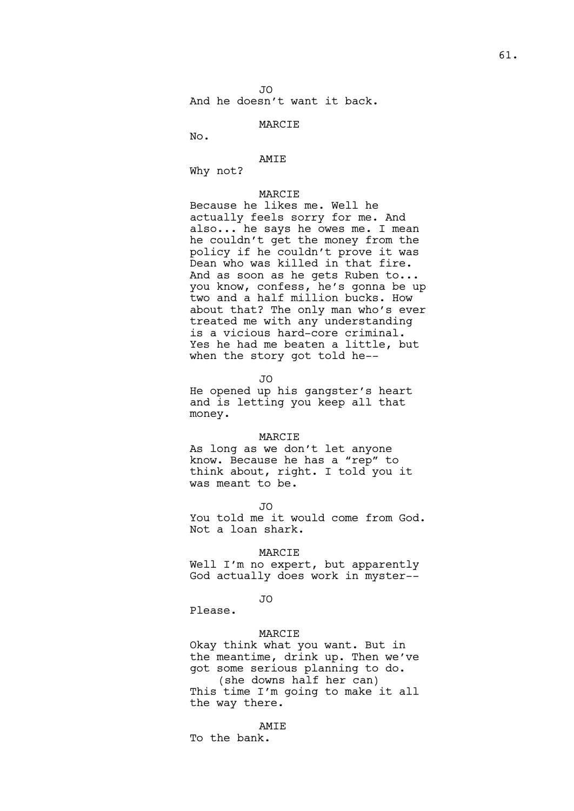JO And he doesn't want it back.

# MARCIE

No.

### AMIE

Why not?

# MARCIE

Because he likes me. Well he actually feels sorry for me. And also... he says he owes me. I mean he couldn't get the money from the policy if he couldn't prove it was Dean who was killed in that fire. And as soon as he gets Ruben to... you know, confess, he's gonna be up two and a half million bucks. How about that? The only man who's ever treated me with any understanding is a vicious hard-core criminal. Yes he had me beaten a little, but when the story got told he--

JO

He opened up his gangster's heart and is letting you keep all that money.

#### MARCIE

As long as we don't let anyone know. Because he has a "rep" to think about, right. I told you it was meant to be.

JO

You told me it would come from God. Not a loan shark.

### MARCIE

Well I'm no expert, but apparently God actually does work in myster--

#### JO

Please.

### MARCIE

Okay think what you want. But in the meantime, drink up. Then we've got some serious planning to do. (she downs half her can) This time I'm going to make it all the way there.

AMIE

To the bank.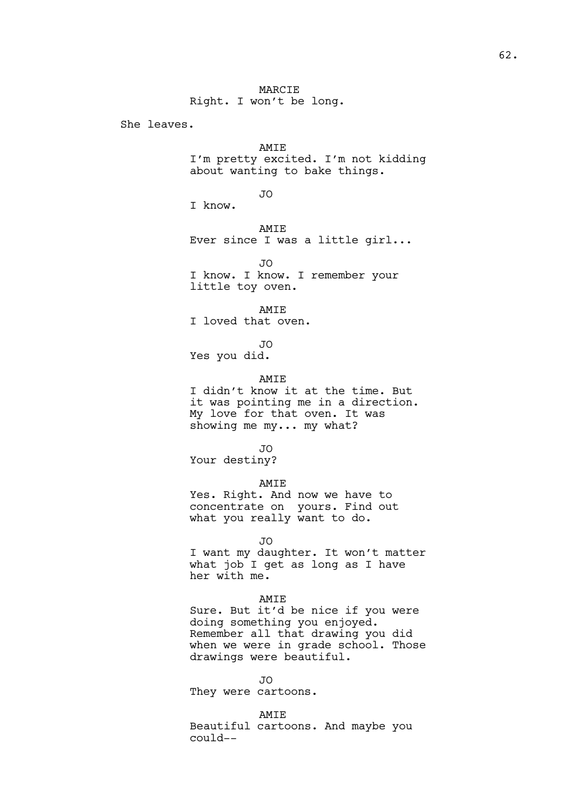Right. I won't be long.

She leaves.

AMIE I'm pretty excited. I'm not kidding about wanting to bake things.

### JO

I know.

AMIE Ever since I was a little girl...

JO I know. I know. I remember your little toy oven.

AMIE I loved that oven.

JO Yes you did.

### AMIE

I didn't know it at the time. But it was pointing me in a direction. My love for that oven. It was showing me my... my what?

### JO

Your destiny?

### AMIE

Yes. Right. And now we have to concentrate on yours. Find out what you really want to do.

#### JO

I want my daughter. It won't matter what job I get as long as I have her with me.

### AMIE

Sure. But it'd be nice if you were doing something you enjoyed. Remember all that drawing you did when we were in grade school. Those drawings were beautiful.

JO

They were cartoons.

#### AMIE

Beautiful cartoons. And maybe you could--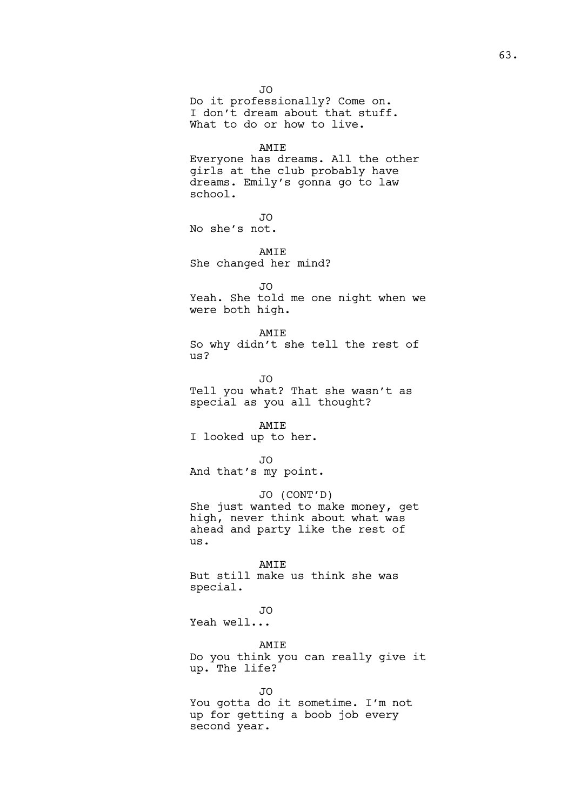JO Do it professionally? Come on. I don't dream about that stuff. What to do or how to live.

#### AMIE

Everyone has dreams. All the other girls at the club probably have dreams. Emily's gonna go to law school.

```
JO
```
No she's not.

AMIE She changed her mind?

JO

Yeah. She told me one night when we were both high.

#### AMIE

So why didn't she tell the rest of us?

JO Tell you what? That she wasn't as special as you all thought?

AMIE I looked up to her.

JO

And that's my point.

JO (CONT'D) She just wanted to make money, get high, never think about what was ahead and party like the rest of us.

AMIE But still make us think she was special.

JO Yeah well...

AMIE

Do you think you can really give it up. The life?

JO

You gotta do it sometime. I'm not up for getting a boob job every second year.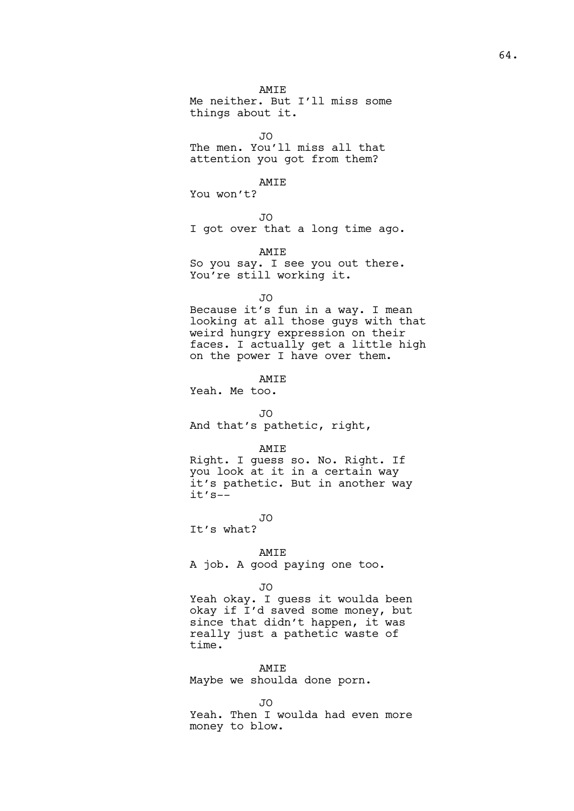AMIE Me neither. But I'll miss some things about it.

JO

The men. You'll miss all that attention you got from them?

AMIE

You won't?

JO

I got over that a long time ago.

AMIE

So you say. I see you out there. You're still working it.

JO

Because it's fun in a way. I mean looking at all those guys with that weird hungry expression on their faces. I actually get a little high on the power I have over them.

AMIE

Yeah. Me too.

```
JO
```
And that's pathetic, right,

### AMIE

Right. I guess so. No. Right. If you look at it in a certain way it's pathetic. But in another way it's--

JO

It's what?

### AMIE

A job. A good paying one too.

### JO

Yeah okay. I guess it woulda been okay if I'd saved some money, but since that didn't happen, it was really just a pathetic waste of time.

#### AMIE

Maybe we shoulda done porn.

JO

Yeah. Then I woulda had even more money to blow.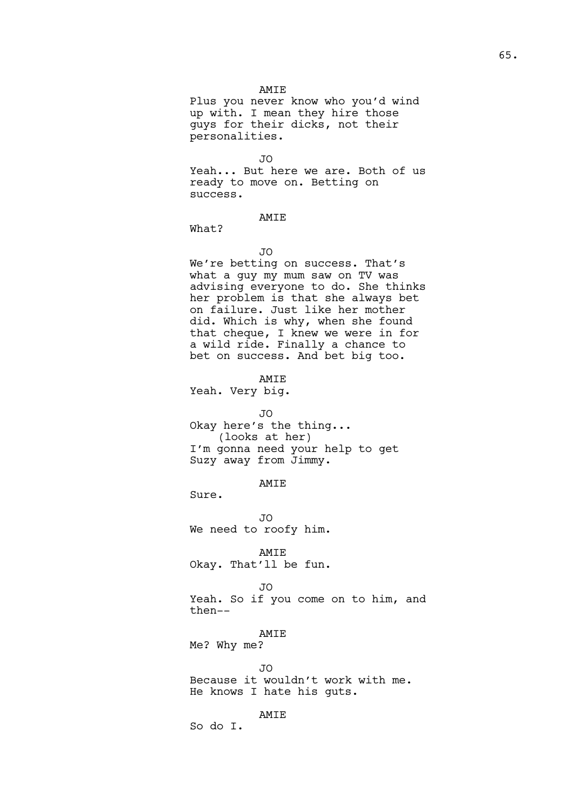### AMIE

Plus you never know who you'd wind up with. I mean they hire those guys for their dicks, not their personalities.

```
JO
```
Yeah... But here we are. Both of us ready to move on. Betting on success.

# AMIE

What?

JO

We're betting on success. That's what a guy my mum saw on TV was advising everyone to do. She thinks her problem is that she always bet on failure. Just like her mother did. Which is why, when she found that cheque, I knew we were in for a wild ride. Finally a chance to bet on success. And bet big too.

AMIE

Yeah. Very big.

JO

Okay here's the thing... (looks at her) I'm gonna need your help to get Suzy away from Jimmy.

# AMIE

Sure.

JO We need to roofy him.

AMIE Okay. That'll be fun.

JO

Yeah. So if you come on to him, and then--

AMIE

Me? Why me?

JO

Because it wouldn't work with me. He knows I hate his guts.

AMIE

So do I.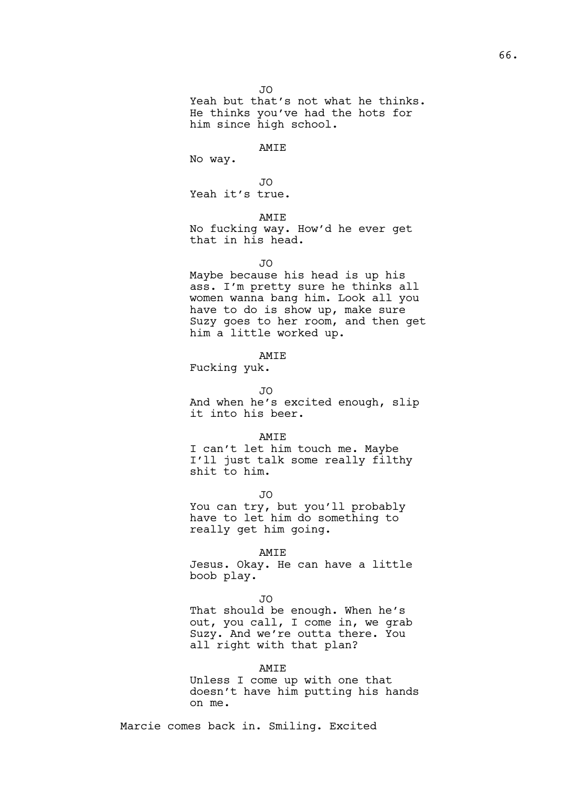JO Yeah but that's not what he thinks. He thinks you've had the hots for him since high school.

#### AMIE

No way.

JO Yeah it's true.

# AMIE

No fucking way. How'd he ever get that in his head.

 $\overline{J}$ 

Maybe because his head is up his ass. I'm pretty sure he thinks all women wanna bang him. Look all you have to do is show up, make sure Suzy goes to her room, and then get him a little worked up.

### AMIE

Fucking yuk.

JO

And when he's excited enough, slip it into his beer.

#### AMIE

I can't let him touch me. Maybe I'll just talk some really filthy shit to him.

JO You can try, but you'll probably have to let him do something to really get him going.

### AMIE

Jesus. Okay. He can have a little boob play.

#### JO

That should be enough. When he's out, you call, I come in, we grab Suzy. And we're outta there. You all right with that plan?

#### AMIE

Unless I come up with one that doesn't have him putting his hands on me.

Marcie comes back in. Smiling. Excited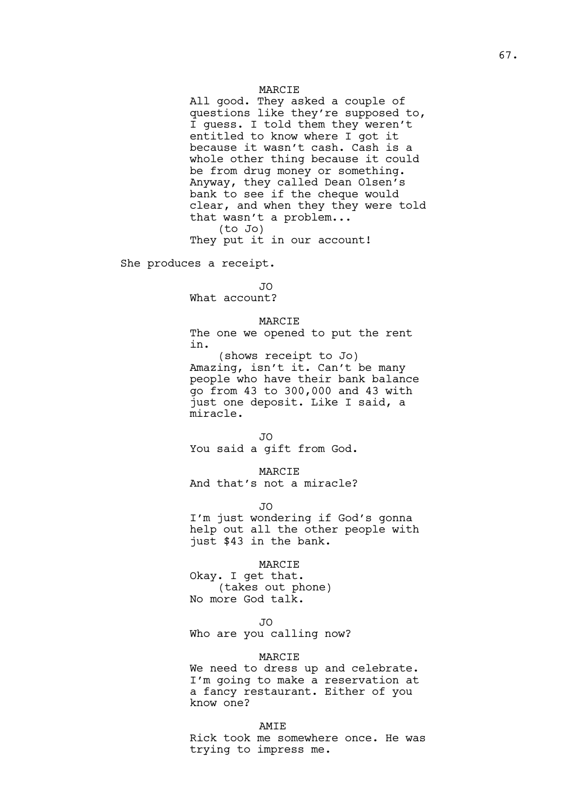### MARCIE

All good. They asked a couple of questions like they're supposed to, I guess. I told them they weren't entitled to know where I got it because it wasn't cash. Cash is a whole other thing because it could be from drug money or something. Anyway, they called Dean Olsen's bank to see if the cheque would clear, and when they they were told that wasn't a problem... (to Jo) They put it in our account!

She produces a receipt.

JO What account?

### MARCIE

The one we opened to put the rent in.

(shows receipt to Jo) Amazing, isn't it. Can't be many people who have their bank balance go from 43 to 300,000 and 43 with just one deposit. Like I said, a miracle.

 $\overline{J}$ 

You said a gift from God.

MARCIE

And that's not a miracle?

JO

I'm just wondering if God's gonna help out all the other people with just \$43 in the bank.

### MARCIE

Okay. I get that. (takes out phone) No more God talk.

JO

Who are you calling now?

#### MARCIE

We need to dress up and celebrate. I'm going to make a reservation at a fancy restaurant. Either of you know one?

#### AMIE

Rick took me somewhere once. He was trying to impress me.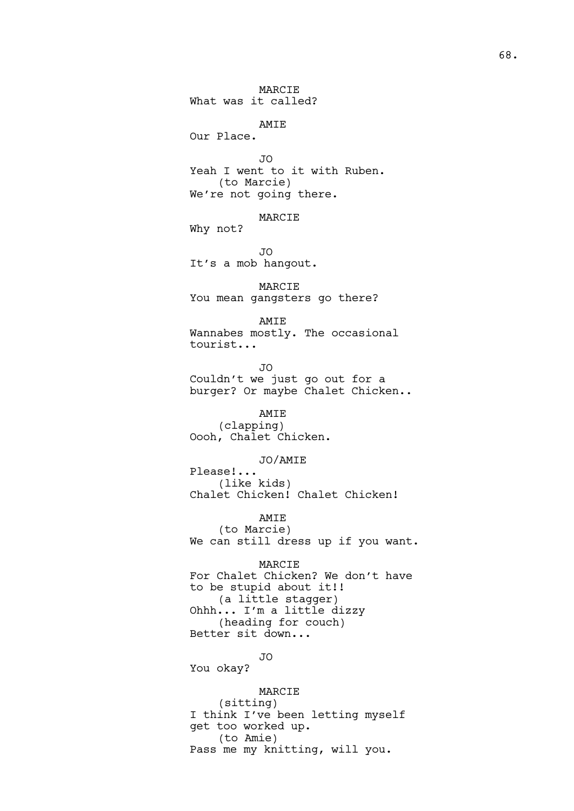MARCIE What was it called? AMIE

Our Place.

JO Yeah I went to it with Ruben. (to Marcie) We're not going there.

MARCIE

Why not?

JO It's a mob hangout.

MARCIE You mean gangsters go there?

AMIE Wannabes mostly. The occasional tourist...

JO Couldn't we just go out for a burger? Or maybe Chalet Chicken..

AMIE (clapping) Oooh, Chalet Chicken.

JO/AMIE

Please!... (like kids) Chalet Chicken! Chalet Chicken!

AMIE

(to Marcie) We can still dress up if you want.

MARCIE For Chalet Chicken? We don't have to be stupid about it!! (a little stagger)

Ohhh... I'm a little dizzy (heading for couch) Better sit down...

JO

You okay?

MARCIE (sitting) I think I've been letting myself get too worked up. (to Amie) Pass me my knitting, will you.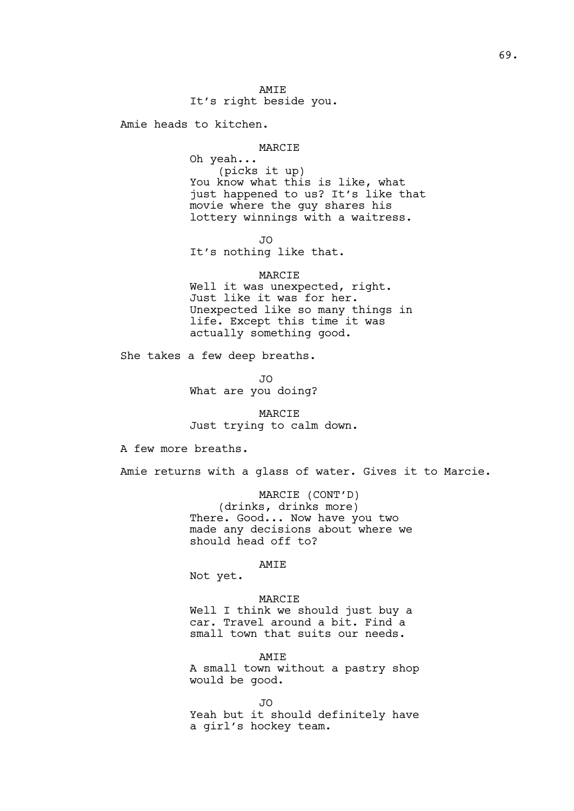Amie heads to kitchen.

#### MARCIE

Oh yeah... (picks it up) You know what this is like, what just happened to us? It's like that movie where the guy shares his lottery winnings with a waitress.

JO

It's nothing like that.

### MARCIE

Well it was unexpected, right. Just like it was for her. Unexpected like so many things in life. Except this time it was actually something good.

She takes a few deep breaths.

JO What are you doing?

# MARCIE Just trying to calm down.

A few more breaths.

Amie returns with a glass of water. Gives it to Marcie.

MARCIE (CONT'D) (drinks, drinks more) There. Good... Now have you two made any decisions about where we should head off to?

# AMIE

Not yet.

MARCIE Well I think we should just buy a car. Travel around a bit. Find a small town that suits our needs.

AMIE A small town without a pastry shop would be good.

JO Yeah but it should definitely have a girl's hockey team.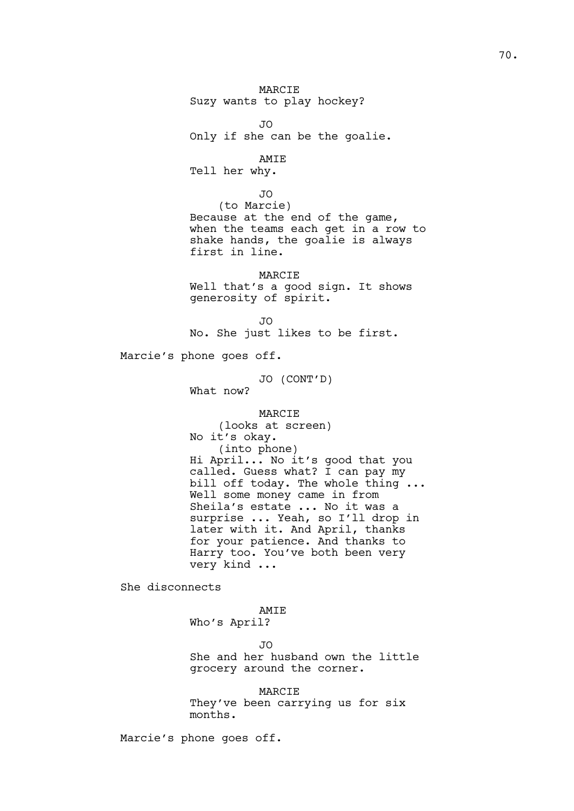MARCIE Suzy wants to play hockey? JO Only if she can be the goalie. AMIE Tell her why. JO (to Marcie) Because at the end of the game, when the teams each get in a row to shake hands, the goalie is always first in line. MARCIE Well that's a good sign. It shows generosity of spirit. JO No. She just likes to be first. Marcie's phone goes off. JO (CONT'D) What now? MARCIE (looks at screen) No it's okay. (into phone) Hi April... No it's good that you called. Guess what? I can pay my bill off today. The whole thing ... Well some money came in from Sheila's estate ... No it was a surprise ... Yeah, so I'll drop in later with it. And April, thanks for your patience. And thanks to Harry too. You've both been very very kind ... She disconnects AMIE Who's April? JO

> She and her husband own the little grocery around the corner.

MARCIE They've been carrying us for six months.

Marcie's phone goes off.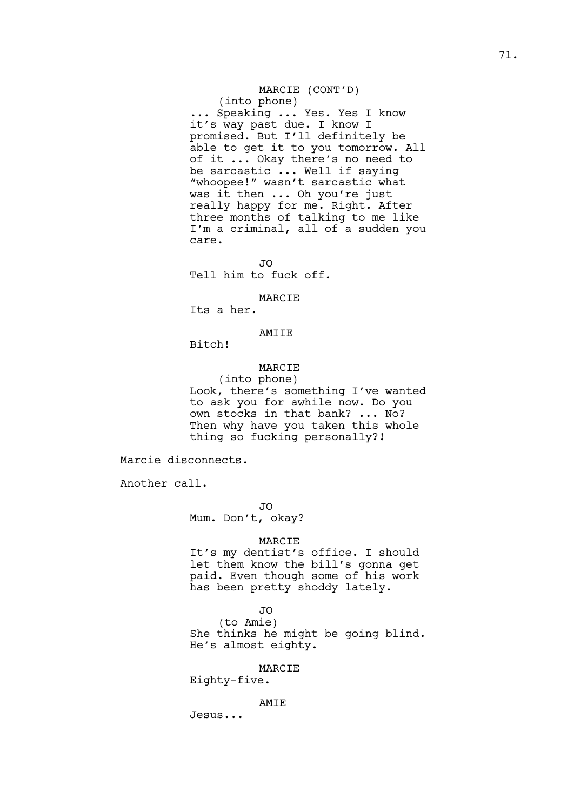# MARCIE (CONT'D)

(into phone) ... Speaking ... Yes. Yes I know it's way past due. I know I promised. But I'll definitely be able to get it to you tomorrow. All of it ... Okay there's no need to be sarcastic ... Well if saying "whoopee!" wasn't sarcastic what was it then ... Oh you're just really happy for me. Right. After three months of talking to me like I'm a criminal, all of a sudden you care.

JO Tell him to fuck off.

### MARCIE

Its a her.

# AMIIE

Bitch!

#### MARCIE

(into phone) Look, there's something I've wanted to ask you for awhile now. Do you own stocks in that bank? ... No? Then why have you taken this whole thing so fucking personally?!

Marcie disconnects.

Another call.

JO

Mum. Don't, okay?

### MARCIE

It's my dentist's office. I should let them know the bill's gonna get paid. Even though some of his work has been pretty shoddy lately.

# JO

(to Amie) She thinks he might be going blind. He's almost eighty.

### MARCIE

Eighty-five.

### AMIE

Jesus...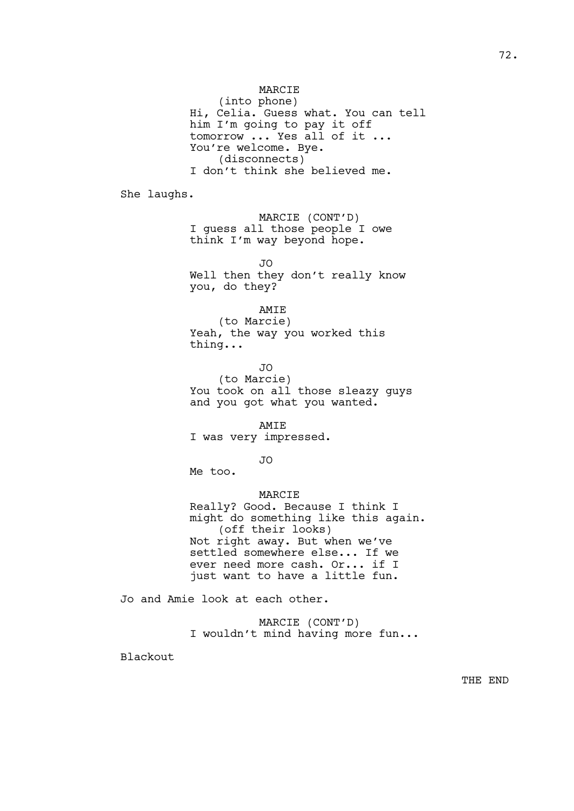MARCIE

(into phone) Hi, Celia. Guess what. You can tell him I'm going to pay it off tomorrow ... Yes all of it ... You're welcome. Bye. (disconnects) I don't think she believed me.

She laughs.

MARCIE (CONT'D) I guess all those people I owe think I'm way beyond hope.

JO Well then they don't really know you, do they?

AMIE

(to Marcie) Yeah, the way you worked this thing...

JO (to Marcie) You took on all those sleazy quys and you got what you wanted.

AMIE I was very impressed.

JO

Me too.

## MARCIE

Really? Good. Because I think I might do something like this again. (off their looks) Not right away. But when we've settled somewhere else... If we ever need more cash. Or... if I just want to have a little fun.

Jo and Amie look at each other.

MARCIE (CONT'D) I wouldn't mind having more fun...

Blackout

THE END